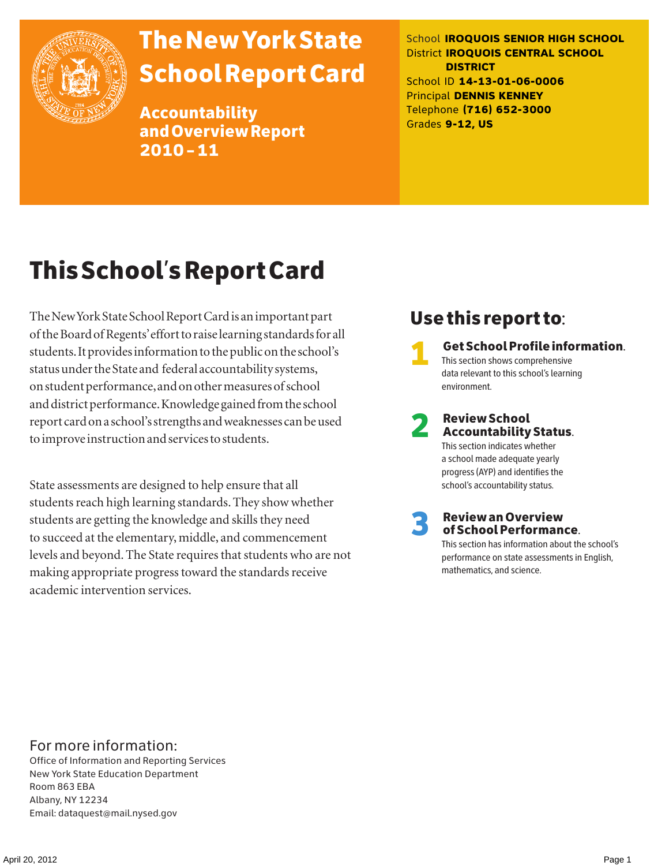

# The New York State School Report Card

Accountability and Overview Report 2010–11

School **IROQUOIS SENIOR HIGH SCHOOL** District **IROQUOIS CENTRAL SCHOOL DISTRICT** School ID **14-13-01-06-0006** Principal **DENNIS KENNEY** Telephone **(716) 652-3000** Grades **9-12, US**

# This School's Report Card

The New York State School Report Card is an important part of the Board of Regents' effort to raise learning standards for all students. It provides information to the public on the school's status under the State and federal accountability systems, on student performance, and on other measures of school and district performance. Knowledge gained from the school report card on a school's strengths and weaknesses can be used to improve instruction and services to students.

State assessments are designed to help ensure that all students reach high learning standards. They show whether students are getting the knowledge and skills they need to succeed at the elementary, middle, and commencement levels and beyond. The State requires that students who are not making appropriate progress toward the standards receive academic intervention services.

## Use this report to:

1 Get School Profile information. This section shows comprehensive data relevant to this school's learning environment.

# 2 Review School Accountability Status.

This section indicates whether a school made adequate yearly progress (AYP) and identifies the school's accountability status.

3 Review an Overview of School Performance.

This section has information about the school's performance on state assessments in English, mathematics, and science.

## For more information:

Office of Information and Reporting Services New York State Education Department Room 863 EBA Albany, NY 12234 Email: dataquest@mail.nysed.gov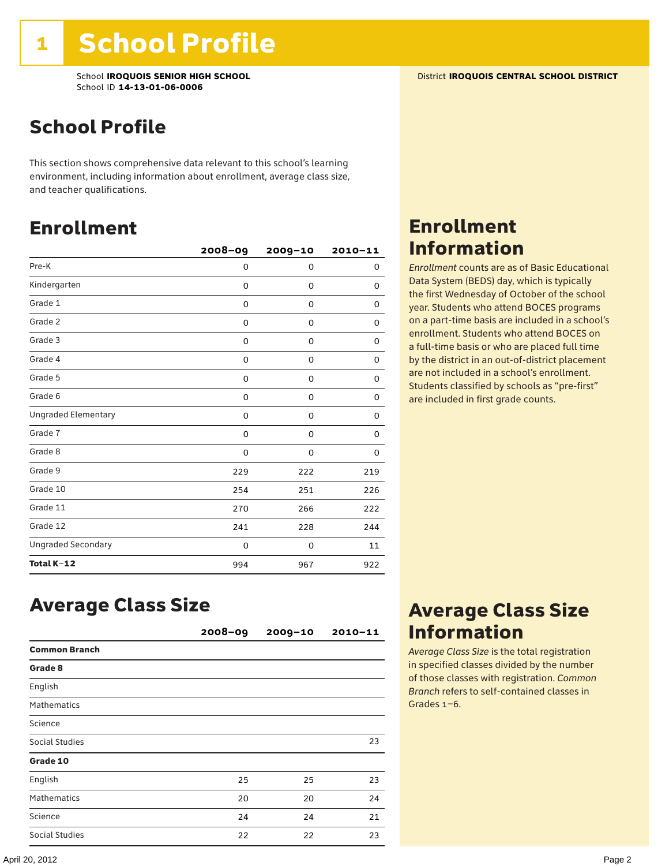School **IROQUOIS SENIOR HIGH SCHOOL** District **IROQUOIS CENTRAL SCHOOL DISTRICT** School ID **14-13-01-06-0006**

## School Profile

This section shows comprehensive data relevant to this school's learning environment, including information about enrollment, average class size, and teacher qualifications.

## Enrollment

|                            | $2008 - 09$ | 2009-10     | $2010 - 11$ |
|----------------------------|-------------|-------------|-------------|
| Pre-K                      | 0           | 0           | 0           |
| Kindergarten               | 0           | 0           | 0           |
| Grade 1                    | 0           | 0           | 0           |
| Grade 2                    | 0           | 0           | 0           |
| Grade 3                    | 0           | 0           | 0           |
| Grade 4                    | 0           | 0           | 0           |
| Grade 5                    | 0           | 0           | 0           |
| Grade 6                    | 0           | 0           | 0           |
| <b>Ungraded Elementary</b> | 0           | $\mathbf 0$ | $\Omega$    |
| Grade 7                    | 0           | 0           | 0           |
| Grade 8                    | 0           | 0           | 0           |
| Grade 9                    | 229         | 222         | 219         |
| Grade 10                   | 254         | 251         | 226         |
| Grade 11                   | 270         | 266         | 222         |
| Grade 12                   | 241         | 228         | 244         |
| <b>Ungraded Secondary</b>  | 0           | 0           | 11          |
| Total K-12                 | 994         | 967         | 922         |

## Enrollment Information

*Enrollment* counts are as of Basic Educational Data System (BEDS) day, which is typically the first Wednesday of October of the school year. Students who attend BOCES programs on a part-time basis are included in a school's enrollment. Students who attend BOCES on a full-time basis or who are placed full time by the district in an out-of-district placement are not included in a school's enrollment. Students classified by schools as "pre-first" are included in first grade counts.

## Average Class Size

|                      | $2008 - 09$ | $2009 - 10$ | $2010 - 11$ |
|----------------------|-------------|-------------|-------------|
| <b>Common Branch</b> |             |             |             |
| Grade 8              |             |             |             |
| English              |             |             |             |
| <b>Mathematics</b>   |             |             |             |
| Science              |             |             |             |
| Social Studies       |             |             | 23          |
| Grade 10             |             |             |             |
| English              | 25          | 25          | 23          |
| <b>Mathematics</b>   | 20          | 20          | 24          |
| Science              | 24          | 24          | 21          |
| Social Studies       | 22          | 22          | 23          |

## Average Class Size Information

*Average Class Size* is the total registration in specified classes divided by the number of those classes with registration. *Common Branch* refers to self-contained classes in Grades 1–6.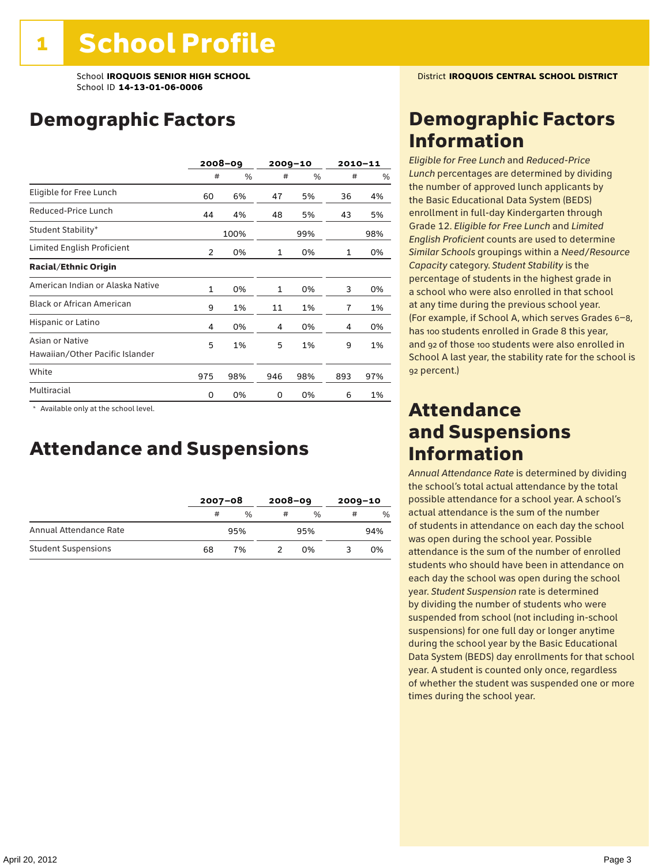School **IROQUOIS SENIOR HIGH SCHOOL** District **IROQUOIS CENTRAL SCHOOL DISTRICT** School ID **14-13-01-06-0006**

## Demographic Factors

|                                                    |              | $2008 - 09$ |              | $2009 - 10$ |                | $2010 - 11$ |
|----------------------------------------------------|--------------|-------------|--------------|-------------|----------------|-------------|
|                                                    | #            | %           | #            | %           | #              | %           |
| Eligible for Free Lunch                            | 60           | 6%          | 47           | 5%          | 36             | 4%          |
| Reduced-Price Lunch                                | 44           | 4%          | 48           | 5%          | 43             | 5%          |
| Student Stability*                                 |              | 100%        |              | 99%         |                | 98%         |
| Limited English Proficient                         | 2            | 0%          | 1            | 0%          | 1              | 0%          |
| <b>Racial/Ethnic Origin</b>                        |              |             |              |             |                |             |
| American Indian or Alaska Native                   | $\mathbf{1}$ | 0%          | $\mathbf{1}$ | 0%          | 3              | 0%          |
| <b>Black or African American</b>                   | 9            | 1%          | 11           | 1%          | $\overline{7}$ | 1%          |
| Hispanic or Latino                                 | 4            | 0%          | 4            | 0%          | 4              | 0%          |
| Asian or Native<br>Hawaiian/Other Pacific Islander | 5            | 1%          | 5            | 1%          | 9              | 1%          |
| White                                              | 975          | 98%         | 946          | 98%         | 893            | 97%         |
| Multiracial                                        | 0            | 0%          | 0            | 0%          | 6              | 1%          |

 \* Available only at the school level.

## Attendance and Suspensions

|                            |    | $2007 - 08$   |   | $2008 - 09$ |   | $2009 - 10$   |  |
|----------------------------|----|---------------|---|-------------|---|---------------|--|
|                            | #  | $\frac{0}{0}$ | # | %           | # | $\frac{0}{0}$ |  |
| Annual Attendance Rate     |    | 95%           |   | 95%         |   | 94%           |  |
| <b>Student Suspensions</b> | 68 | 7%            |   | በ%          |   | 0%            |  |

## Demographic Factors Information

*Eligible for Free Lunch* and *Reduced*-*Price Lunch* percentages are determined by dividing the number of approved lunch applicants by the Basic Educational Data System (BEDS) enrollment in full-day Kindergarten through Grade 12. *Eligible for Free Lunch* and *Limited English Proficient* counts are used to determine *Similar Schools* groupings within a *Need*/*Resource Capacity* category. *Student Stability* is the percentage of students in the highest grade in a school who were also enrolled in that school at any time during the previous school year. (For example, if School A, which serves Grades 6–8, has 100 students enrolled in Grade 8 this year, and 92 of those 100 students were also enrolled in School A last year, the stability rate for the school is 92 percent.)

## Attendance and Suspensions Information

*Annual Attendance Rate* is determined by dividing the school's total actual attendance by the total possible attendance for a school year. A school's actual attendance is the sum of the number of students in attendance on each day the school was open during the school year. Possible attendance is the sum of the number of enrolled students who should have been in attendance on each day the school was open during the school year. *Student Suspension* rate is determined by dividing the number of students who were suspended from school (not including in-school suspensions) for one full day or longer anytime during the school year by the Basic Educational Data System (BEDS) day enrollments for that school year. A student is counted only once, regardless of whether the student was suspended one or more times during the school year.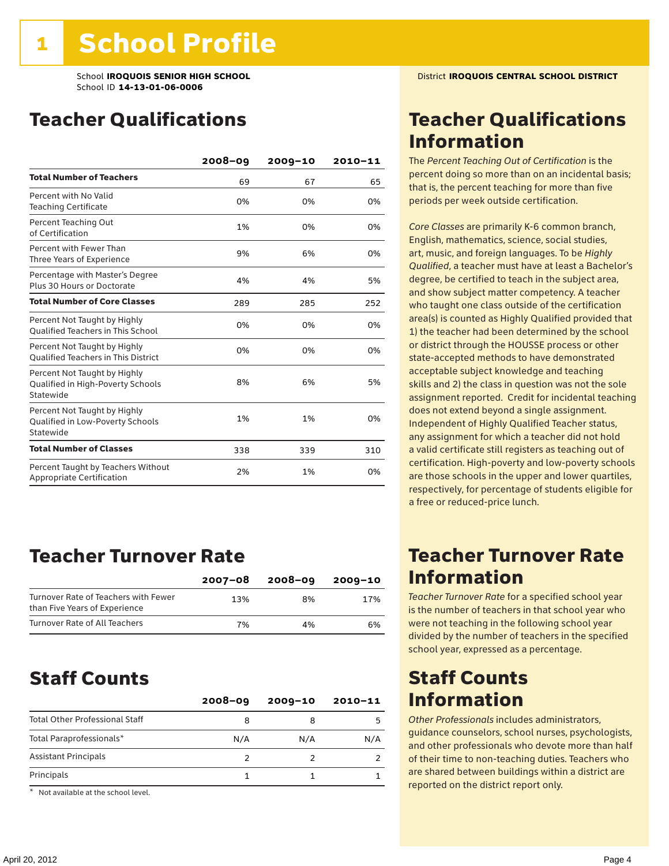## Teacher Qualifications

|                                                                                | $2008 - 09$ | $2009 - 10$ | $2010 - 11$ |
|--------------------------------------------------------------------------------|-------------|-------------|-------------|
| <b>Total Number of Teachers</b>                                                | 69          | 67          | 65          |
| Percent with No Valid<br><b>Teaching Certificate</b>                           | 0%          | 0%          | 0%          |
| Percent Teaching Out<br>of Certification                                       | 1%          | 0%          | 0%          |
| Percent with Fewer Than<br>Three Years of Experience                           | 9%          | 6%          | 0%          |
| Percentage with Master's Degree<br>Plus 30 Hours or Doctorate                  | 4%          | 4%          | 5%          |
| <b>Total Number of Core Classes</b>                                            | 289         | 285         | 252         |
| Percent Not Taught by Highly<br><b>Qualified Teachers in This School</b>       | 0%          | 0%          | 0%          |
| Percent Not Taught by Highly<br><b>Oualified Teachers in This District</b>     | 0%          | 0%          | 0%          |
| Percent Not Taught by Highly<br>Qualified in High-Poverty Schools<br>Statewide | 8%          | 6%          | 5%          |
| Percent Not Taught by Highly<br>Qualified in Low-Poverty Schools<br>Statewide  | 1%          | 1%          | 0%          |
| <b>Total Number of Classes</b>                                                 | 338         | 339         | 310         |
| Percent Taught by Teachers Without<br>Appropriate Certification                | 2%          | 1%          | 0%          |

## Teacher Turnover Rate

|                                                                       | $2007 - 08$ | 2008-09 | 2009-10 |
|-----------------------------------------------------------------------|-------------|---------|---------|
| Turnover Rate of Teachers with Fewer<br>than Five Years of Experience | 13%         | 8%      | 17%     |
| Turnover Rate of All Teachers                                         | 7%          | 4%      | 6%      |

## Staff Counts

|                                       | $2008 - 09$ | $2009 - 10$ | $2010 - 11$ |
|---------------------------------------|-------------|-------------|-------------|
| <b>Total Other Professional Staff</b> | 8           |             | 5           |
| Total Paraprofessionals*              | N/A         | N/A         | N/A         |
| <b>Assistant Principals</b>           |             |             |             |
| Principals                            |             |             |             |

\* Not available at the school level.

## Teacher Qualifications Information

The *Percent Teaching Out of Certification* is the percent doing so more than on an incidental basis; that is, the percent teaching for more than five periods per week outside certification.

*Core Classes* are primarily K-6 common branch, English, mathematics, science, social studies, art, music, and foreign languages. To be *Highly Qualified*, a teacher must have at least a Bachelor's degree, be certified to teach in the subject area, and show subject matter competency. A teacher who taught one class outside of the certification area(s) is counted as Highly Qualified provided that 1) the teacher had been determined by the school or district through the HOUSSE process or other state-accepted methods to have demonstrated acceptable subject knowledge and teaching skills and 2) the class in question was not the sole assignment reported. Credit for incidental teaching does not extend beyond a single assignment. Independent of Highly Qualified Teacher status, any assignment for which a teacher did not hold a valid certificate still registers as teaching out of certification. High-poverty and low-poverty schools are those schools in the upper and lower quartiles, respectively, for percentage of students eligible for a free or reduced-price lunch.

## Teacher Turnover Rate Information

*Teacher Turnover Rate* for a specified school year is the number of teachers in that school year who were not teaching in the following school year divided by the number of teachers in the specified school year, expressed as a percentage.

## Staff Counts Information

*Other Professionals* includes administrators, guidance counselors, school nurses, psychologists, and other professionals who devote more than half of their time to non-teaching duties. Teachers who are shared between buildings within a district are reported on the district report only.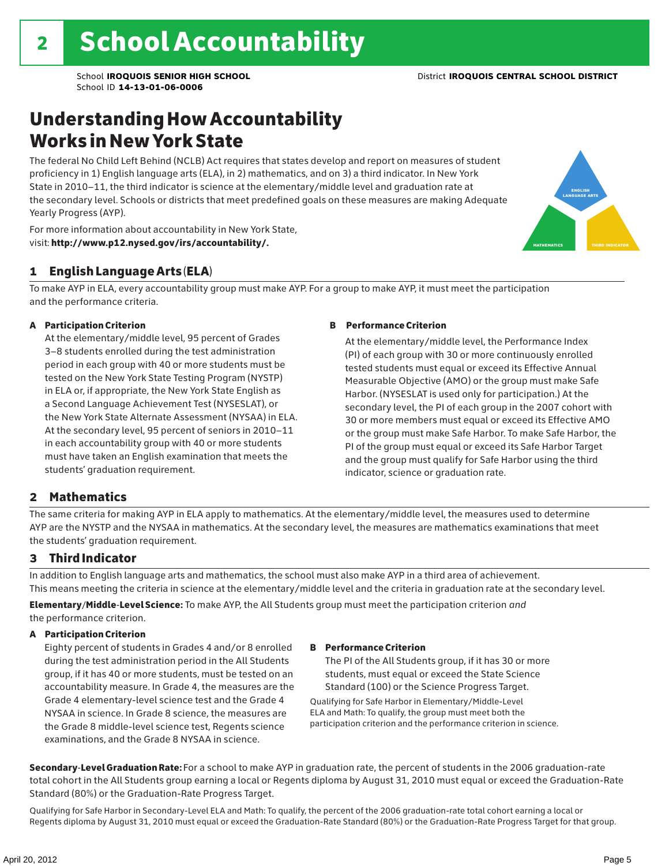## Understanding How Accountability Works in New York State

The federal No Child Left Behind (NCLB) Act requires that states develop and report on measures of student proficiency in 1) English language arts (ELA), in 2) mathematics, and on 3) a third indicator. In New York State in 2010–11, the third indicator is science at the elementary/middle level and graduation rate at the secondary level. Schools or districts that meet predefined goals on these measures are making Adequate Yearly Progress (AYP).



For more information about accountability in New York State, visit: http://www.p12.nysed.gov/irs/accountability/.

## 1 English Language Arts (ELA)

To make AYP in ELA, every accountability group must make AYP. For a group to make AYP, it must meet the participation and the performance criteria.

## A Participation Criterion

At the elementary/middle level, 95 percent of Grades 3–8 students enrolled during the test administration period in each group with 40 or more students must be tested on the New York State Testing Program (NYSTP) in ELA or, if appropriate, the New York State English as a Second Language Achievement Test (NYSESLAT), or the New York State Alternate Assessment (NYSAA) in ELA. At the secondary level, 95 percent of seniors in 2010–11 in each accountability group with 40 or more students must have taken an English examination that meets the students' graduation requirement.

### B Performance Criterion

At the elementary/middle level, the Performance Index (PI) of each group with 30 or more continuously enrolled tested students must equal or exceed its Effective Annual Measurable Objective (AMO) or the group must make Safe Harbor. (NYSESLAT is used only for participation.) At the secondary level, the PI of each group in the 2007 cohort with 30 or more members must equal or exceed its Effective AMO or the group must make Safe Harbor. To make Safe Harbor, the PI of the group must equal or exceed its Safe Harbor Target and the group must qualify for Safe Harbor using the third indicator, science or graduation rate.

## 2 Mathematics

The same criteria for making AYP in ELA apply to mathematics. At the elementary/middle level, the measures used to determine AYP are the NYSTP and the NYSAA in mathematics. At the secondary level, the measures are mathematics examinations that meet the students' graduation requirement.

## 3 Third Indicator

In addition to English language arts and mathematics, the school must also make AYP in a third area of achievement. This means meeting the criteria in science at the elementary/middle level and the criteria in graduation rate at the secondary level.

Elementary/Middle-Level Science: To make AYP, the All Students group must meet the participation criterion *and* the performance criterion.

### A Participation Criterion

Eighty percent of students in Grades 4 and/or 8 enrolled during the test administration period in the All Students group, if it has 40 or more students, must be tested on an accountability measure. In Grade 4, the measures are the Grade 4 elementary-level science test and the Grade 4 NYSAA in science. In Grade 8 science, the measures are the Grade 8 middle-level science test, Regents science examinations, and the Grade 8 NYSAA in science.

### B Performance Criterion

The PI of the All Students group, if it has 30 or more students, must equal or exceed the State Science Standard (100) or the Science Progress Target.

Qualifying for Safe Harbor in Elementary/Middle-Level ELA and Math: To qualify, the group must meet both the participation criterion and the performance criterion in science.

Secondary-Level Graduation Rate: For a school to make AYP in graduation rate, the percent of students in the 2006 graduation-rate total cohort in the All Students group earning a local or Regents diploma by August 31, 2010 must equal or exceed the Graduation-Rate Standard (80%) or the Graduation-Rate Progress Target.

Qualifying for Safe Harbor in Secondary-Level ELA and Math: To qualify, the percent of the 2006 graduation-rate total cohort earning a local or Regents diploma by August 31, 2010 must equal or exceed the Graduation-Rate Standard (80%) or the Graduation-Rate Progress Target for that group.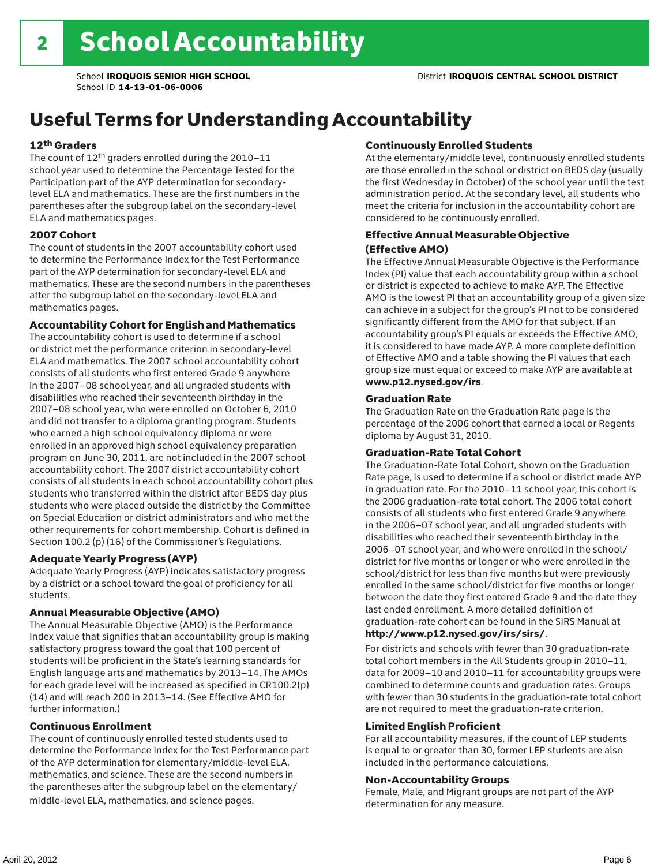## Useful Terms for Understanding Accountability

## 12th Graders

The count of 12th graders enrolled during the 2010–11 school year used to determine the Percentage Tested for the Participation part of the AYP determination for secondarylevel ELA and mathematics. These are the first numbers in the parentheses after the subgroup label on the secondary-level ELA and mathematics pages.

## 2007 Cohort

The count of students in the 2007 accountability cohort used to determine the Performance Index for the Test Performance part of the AYP determination for secondary-level ELA and mathematics. These are the second numbers in the parentheses after the subgroup label on the secondary-level ELA and mathematics pages.

### Accountability Cohort for English and Mathematics

The accountability cohort is used to determine if a school or district met the performance criterion in secondary-level ELA and mathematics. The 2007 school accountability cohort consists of all students who first entered Grade 9 anywhere in the 2007–08 school year, and all ungraded students with disabilities who reached their seventeenth birthday in the 2007–08 school year, who were enrolled on October 6, 2010 and did not transfer to a diploma granting program. Students who earned a high school equivalency diploma or were enrolled in an approved high school equivalency preparation program on June 30, 2011, are not included in the 2007 school accountability cohort. The 2007 district accountability cohort consists of all students in each school accountability cohort plus students who transferred within the district after BEDS day plus students who were placed outside the district by the Committee on Special Education or district administrators and who met the other requirements for cohort membership. Cohort is defined in Section 100.2 (p) (16) of the Commissioner's Regulations.

### Adequate Yearly Progress (AYP)

Adequate Yearly Progress (AYP) indicates satisfactory progress by a district or a school toward the goal of proficiency for all students.

### Annual Measurable Objective (AMO)

The Annual Measurable Objective (AMO) is the Performance Index value that signifies that an accountability group is making satisfactory progress toward the goal that 100 percent of students will be proficient in the State's learning standards for English language arts and mathematics by 2013–14. The AMOs for each grade level will be increased as specified in CR100.2(p) (14) and will reach 200 in 2013–14. (See Effective AMO for further information.)

### Continuous Enrollment

The count of continuously enrolled tested students used to determine the Performance Index for the Test Performance part of the AYP determination for elementary/middle-level ELA, mathematics, and science. These are the second numbers in the parentheses after the subgroup label on the elementary/ middle-level ELA, mathematics, and science pages.

## Continuously Enrolled Students

At the elementary/middle level, continuously enrolled students are those enrolled in the school or district on BEDS day (usually the first Wednesday in October) of the school year until the test administration period. At the secondary level, all students who meet the criteria for inclusion in the accountability cohort are considered to be continuously enrolled.

## Effective Annual Measurable Objective (Effective AMO)

The Effective Annual Measurable Objective is the Performance Index (PI) value that each accountability group within a school or district is expected to achieve to make AYP. The Effective AMO is the lowest PI that an accountability group of a given size can achieve in a subject for the group's PI not to be considered significantly different from the AMO for that subject. If an accountability group's PI equals or exceeds the Effective AMO, it is considered to have made AYP. A more complete definition of Effective AMO and a table showing the PI values that each group size must equal or exceed to make AYP are available at www.p12.nysed.gov/irs.

## Graduation Rate

The Graduation Rate on the Graduation Rate page is the percentage of the 2006 cohort that earned a local or Regents diploma by August 31, 2010.

### Graduation-Rate Total Cohort

The Graduation-Rate Total Cohort, shown on the Graduation Rate page, is used to determine if a school or district made AYP in graduation rate. For the 2010–11 school year, this cohort is the 2006 graduation-rate total cohort. The 2006 total cohort consists of all students who first entered Grade 9 anywhere in the 2006–07 school year, and all ungraded students with disabilities who reached their seventeenth birthday in the 2006–07 school year, and who were enrolled in the school/ district for five months or longer or who were enrolled in the school/district for less than five months but were previously enrolled in the same school/district for five months or longer between the date they first entered Grade 9 and the date they last ended enrollment. A more detailed definition of graduation-rate cohort can be found in the SIRS Manual at

## http://www.p12.nysed.gov/irs/sirs/.

For districts and schools with fewer than 30 graduation-rate total cohort members in the All Students group in 2010–11, data for 2009–10 and 2010–11 for accountability groups were combined to determine counts and graduation rates. Groups with fewer than 30 students in the graduation-rate total cohort are not required to meet the graduation-rate criterion.

### Limited English Proficient

For all accountability measures, if the count of LEP students is equal to or greater than 30, former LEP students are also included in the performance calculations.

### Non-Accountability Groups

Female, Male, and Migrant groups are not part of the AYP determination for any measure.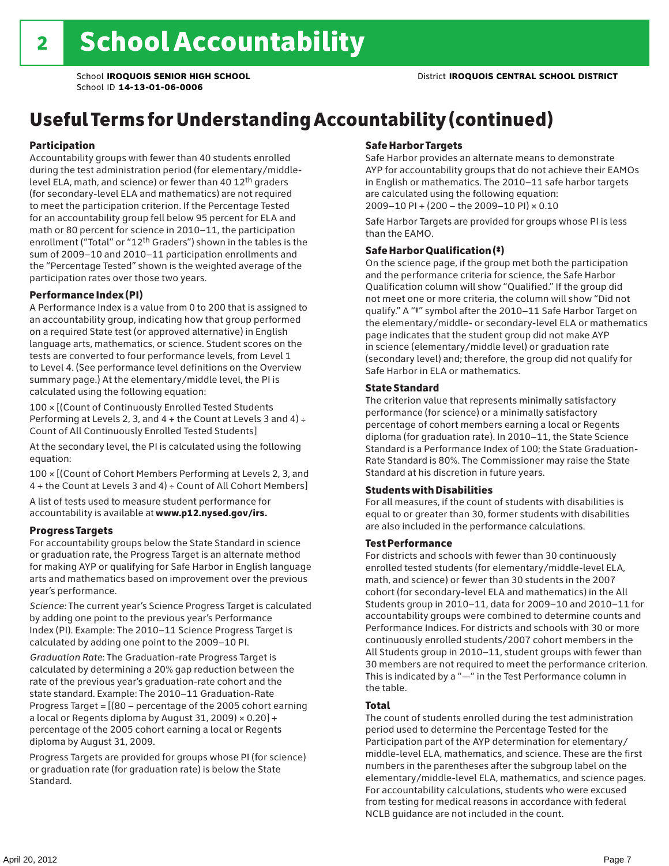## Useful Terms for Understanding Accountability (continued)

## Participation

Accountability groups with fewer than 40 students enrolled during the test administration period (for elementary/middlelevel ELA, math, and science) or fewer than 40 12th graders (for secondary-level ELA and mathematics) are not required to meet the participation criterion. If the Percentage Tested for an accountability group fell below 95 percent for ELA and math or 80 percent for science in 2010–11, the participation enrollment ("Total" or "12th Graders") shown in the tables is the sum of 2009–10 and 2010–11 participation enrollments and the "Percentage Tested" shown is the weighted average of the participation rates over those two years.

## Performance Index (PI)

A Performance Index is a value from 0 to 200 that is assigned to an accountability group, indicating how that group performed on a required State test (or approved alternative) in English language arts, mathematics, or science. Student scores on the tests are converted to four performance levels, from Level 1 to Level 4. (See performance level definitions on the Overview summary page.) At the elementary/middle level, the PI is calculated using the following equation:

100 × [(Count of Continuously Enrolled Tested Students Performing at Levels 2, 3, and  $4 +$  the Count at Levels 3 and  $4) \div$ Count of All Continuously Enrolled Tested Students]

At the secondary level, the PI is calculated using the following equation:

100 × [(Count of Cohort Members Performing at Levels 2, 3, and 4 + the Count at Levels 3 and 4) ÷ Count of All Cohort Members]

A list of tests used to measure student performance for accountability is available at www.p12.nysed.gov/irs.

## Progress Targets

For accountability groups below the State Standard in science or graduation rate, the Progress Target is an alternate method for making AYP or qualifying for Safe Harbor in English language arts and mathematics based on improvement over the previous year's performance.

*Science:* The current year's Science Progress Target is calculated by adding one point to the previous year's Performance Index (PI). Example: The 2010–11 Science Progress Target is calculated by adding one point to the 2009–10 PI.

*Graduation Rate*: The Graduation-rate Progress Target is calculated by determining a 20% gap reduction between the rate of the previous year's graduation-rate cohort and the state standard. Example: The 2010–11 Graduation-Rate Progress Target = [(80 – percentage of the 2005 cohort earning a local or Regents diploma by August 31, 2009)  $\times$  0.20] + percentage of the 2005 cohort earning a local or Regents diploma by August 31, 2009.

Progress Targets are provided for groups whose PI (for science) or graduation rate (for graduation rate) is below the State Standard.

## Safe Harbor Targets

Safe Harbor provides an alternate means to demonstrate AYP for accountability groups that do not achieve their EAMOs in English or mathematics. The 2010–11 safe harbor targets are calculated using the following equation: 2009–10 PI + (200 – the 2009–10 PI) × 0.10

Safe Harbor Targets are provided for groups whose PI is less than the EAMO.

## Safe Harbor Qualification (‡)

On the science page, if the group met both the participation and the performance criteria for science, the Safe Harbor Qualification column will show "Qualified." If the group did not meet one or more criteria, the column will show "Did not qualify." A "‡" symbol after the 2010–11 Safe Harbor Target on the elementary/middle- or secondary-level ELA or mathematics page indicates that the student group did not make AYP in science (elementary/middle level) or graduation rate (secondary level) and; therefore, the group did not qualify for Safe Harbor in ELA or mathematics.

## State Standard

The criterion value that represents minimally satisfactory performance (for science) or a minimally satisfactory percentage of cohort members earning a local or Regents diploma (for graduation rate). In 2010–11, the State Science Standard is a Performance Index of 100; the State Graduation-Rate Standard is 80%. The Commissioner may raise the State Standard at his discretion in future years.

## Students with Disabilities

For all measures, if the count of students with disabilities is equal to or greater than 30, former students with disabilities are also included in the performance calculations.

### Test Performance

For districts and schools with fewer than 30 continuously enrolled tested students (for elementary/middle-level ELA, math, and science) or fewer than 30 students in the 2007 cohort (for secondary-level ELA and mathematics) in the All Students group in 2010–11, data for 2009–10 and 2010–11 for accountability groups were combined to determine counts and Performance Indices. For districts and schools with 30 or more continuously enrolled students/2007 cohort members in the All Students group in 2010–11, student groups with fewer than 30 members are not required to meet the performance criterion. This is indicated by a "—" in the Test Performance column in the table.

### Total

The count of students enrolled during the test administration period used to determine the Percentage Tested for the Participation part of the AYP determination for elementary/ middle-level ELA, mathematics, and science. These are the first numbers in the parentheses after the subgroup label on the elementary/middle-level ELA, mathematics, and science pages. For accountability calculations, students who were excused from testing for medical reasons in accordance with federal NCLB guidance are not included in the count.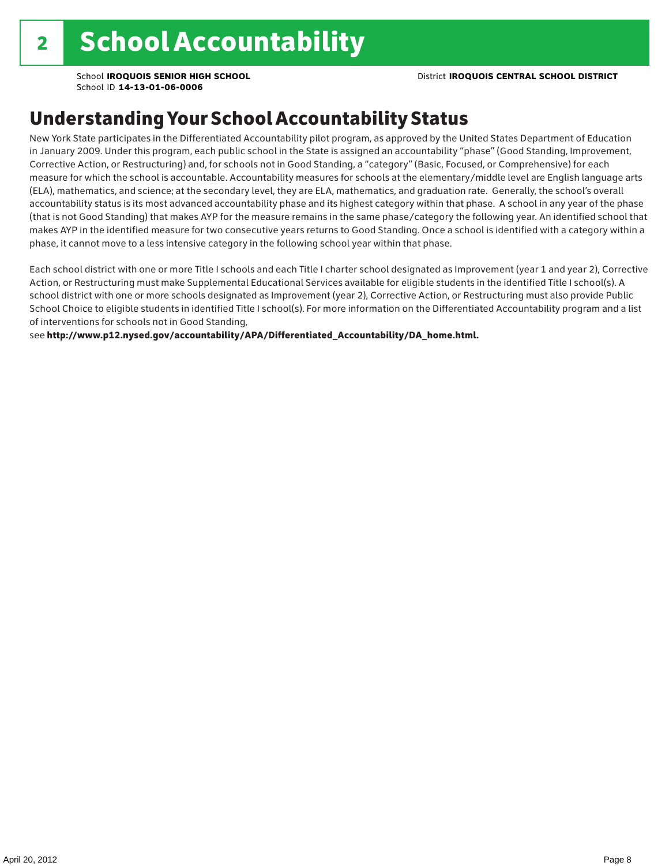School **IROQUOIS SENIOR HIGH SCHOOL** District **IROQUOIS CENTRAL SCHOOL DISTRICT**

School ID **14-13-01-06-0006**

## Understanding Your School Accountability Status

New York State participates in the Differentiated Accountability pilot program, as approved by the United States Department of Education in January 2009. Under this program, each public school in the State is assigned an accountability "phase" (Good Standing, Improvement, Corrective Action, or Restructuring) and, for schools not in Good Standing, a "category" (Basic, Focused, or Comprehensive) for each measure for which the school is accountable. Accountability measures for schools at the elementary/middle level are English language arts (ELA), mathematics, and science; at the secondary level, they are ELA, mathematics, and graduation rate. Generally, the school's overall accountability status is its most advanced accountability phase and its highest category within that phase. A school in any year of the phase (that is not Good Standing) that makes AYP for the measure remains in the same phase/category the following year. An identified school that makes AYP in the identified measure for two consecutive years returns to Good Standing. Once a school is identified with a category within a phase, it cannot move to a less intensive category in the following school year within that phase.

Each school district with one or more Title I schools and each Title I charter school designated as Improvement (year 1 and year 2), Corrective Action, or Restructuring must make Supplemental Educational Services available for eligible students in the identified Title I school(s). A school district with one or more schools designated as Improvement (year 2), Corrective Action, or Restructuring must also provide Public School Choice to eligible students in identified Title I school(s). For more information on the Differentiated Accountability program and a list of interventions for schools not in Good Standing,

see http://www.p12.nysed.gov/accountability/APA/Differentiated\_Accountability/DA\_home.html.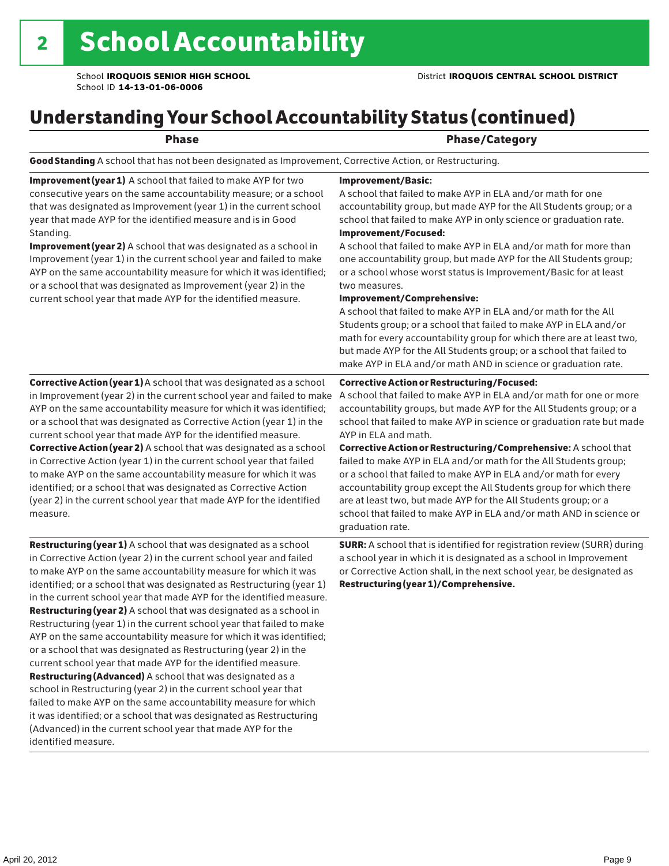## Understanding Your School Accountability Status (continued)

| ×<br>., | I |
|---------|---|
|---------|---|

## Phase/Category

Good Standing A school that has not been designated as Improvement, Corrective Action, or Restructuring.

Improvement (year 1) A school that failed to make AYP for two consecutive years on the same accountability measure; or a school that was designated as Improvement (year 1) in the current school year that made AYP for the identified measure and is in Good Standing.

Improvement (year 2) A school that was designated as a school in Improvement (year 1) in the current school year and failed to make AYP on the same accountability measure for which it was identified; or a school that was designated as Improvement (year 2) in the current school year that made AYP for the identified measure.

## Corrective Action (year 1) A school that was designated as a school in Improvement (year 2) in the current school year and failed to make AYP on the same accountability measure for which it was identified; or a school that was designated as Corrective Action (year 1) in the current school year that made AYP for the identified measure. Corrective Action (year 2) A school that was designated as a school in Corrective Action (year 1) in the current school year that failed to make AYP on the same accountability measure for which it was identified; or a school that was designated as Corrective Action (year 2) in the current school year that made AYP for the identified measure.

**Restructuring (year 1)** A school that was designated as a school in Corrective Action (year 2) in the current school year and failed to make AYP on the same accountability measure for which it was identified; or a school that was designated as Restructuring (year 1) in the current school year that made AYP for the identified measure. Restructuring (year 2) A school that was designated as a school in Restructuring (year 1) in the current school year that failed to make AYP on the same accountability measure for which it was identified; or a school that was designated as Restructuring (year 2) in the current school year that made AYP for the identified measure. Restructuring (Advanced) A school that was designated as a school in Restructuring (year 2) in the current school year that failed to make AYP on the same accountability measure for which it was identified; or a school that was designated as Restructuring (Advanced) in the current school year that made AYP for the identified measure.

### Improvement/Basic:

A school that failed to make AYP in ELA and/or math for one accountability group, but made AYP for the All Students group; or a school that failed to make AYP in only science or graduation rate. Improvement/Focused:

A school that failed to make AYP in ELA and/or math for more than one accountability group, but made AYP for the All Students group; or a school whose worst status is Improvement/Basic for at least two measures.

### Improvement/Comprehensive:

A school that failed to make AYP in ELA and/or math for the All Students group; or a school that failed to make AYP in ELA and/or math for every accountability group for which there are at least two, but made AYP for the All Students group; or a school that failed to make AYP in ELA and/or math AND in science or graduation rate.

### Corrective Action or Restructuring/Focused:

A school that failed to make AYP in ELA and/or math for one or more accountability groups, but made AYP for the All Students group; or a school that failed to make AYP in science or graduation rate but made AYP in ELA and math.

Corrective Action or Restructuring/Comprehensive: A school that failed to make AYP in ELA and/or math for the All Students group; or a school that failed to make AYP in ELA and/or math for every accountability group except the All Students group for which there are at least two, but made AYP for the All Students group; or a school that failed to make AYP in ELA and/or math AND in science or graduation rate.

SURR: A school that is identified for registration review (SURR) during a school year in which it is designated as a school in Improvement or Corrective Action shall, in the next school year, be designated as Restructuring (year 1)/Comprehensive.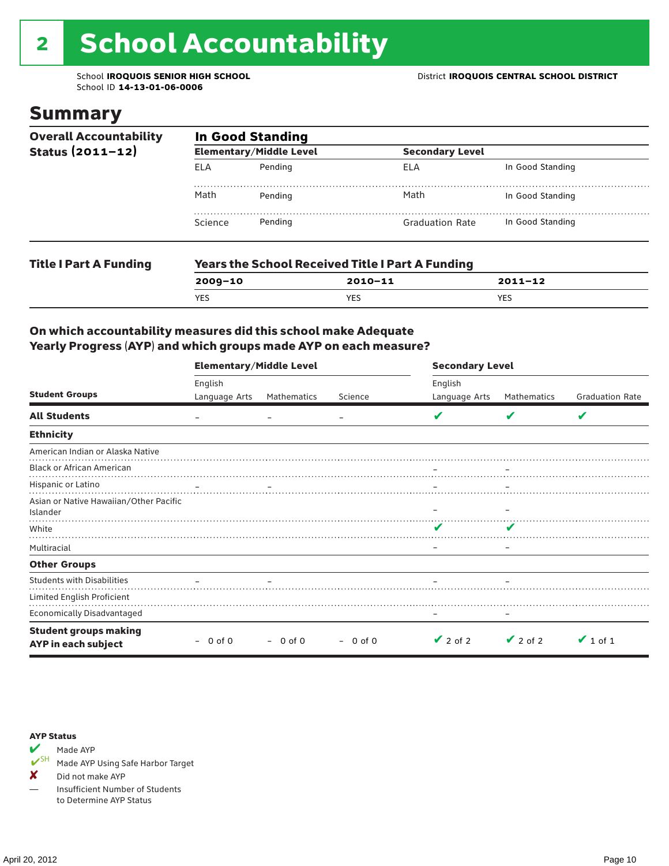# 2 School Accountability

School ID **14-13-01-06-0006**

## Summary

| <b>Overall Accountability</b><br>Status $(2011 - 12)$ | <b>In Good Standing</b> |                                |                                                         |                  |  |  |
|-------------------------------------------------------|-------------------------|--------------------------------|---------------------------------------------------------|------------------|--|--|
|                                                       |                         | <b>Elementary/Middle Level</b> | <b>Secondary Level</b>                                  |                  |  |  |
|                                                       | ELA                     | Pending                        | ELA                                                     | In Good Standing |  |  |
|                                                       | Math                    | Pending                        | Math                                                    | In Good Standing |  |  |
|                                                       | Science                 | Pending                        | <b>Graduation Rate</b>                                  | In Good Standing |  |  |
| <b>Title I Part A Funding</b>                         |                         |                                | <b>Years the School Received Title I Part A Funding</b> |                  |  |  |
|                                                       | $2009 - 10$             |                                | $2010 - 11$                                             | $2011 - 12$      |  |  |
|                                                       | <b>YES</b>              |                                | <b>YES</b>                                              | <b>YES</b>       |  |  |

## On which accountability measures did this school make Adequate Yearly Progress (AYP) and which groups made AYP on each measure?

|                                                     | <b>Elementary/Middle Level</b> |             |           |               | <b>Secondary Level</b> |                        |  |  |
|-----------------------------------------------------|--------------------------------|-------------|-----------|---------------|------------------------|------------------------|--|--|
|                                                     | English<br>English             |             |           |               |                        |                        |  |  |
| <b>Student Groups</b>                               | Language Arts                  | Mathematics | Science   | Language Arts | Mathematics            | <b>Graduation Rate</b> |  |  |
| <b>All Students</b>                                 |                                |             |           |               | v                      | V                      |  |  |
| <b>Ethnicity</b>                                    |                                |             |           |               |                        |                        |  |  |
| American Indian or Alaska Native                    |                                |             |           |               |                        |                        |  |  |
| <b>Black or African American</b>                    |                                |             |           |               |                        |                        |  |  |
| Hispanic or Latino                                  |                                |             |           |               |                        |                        |  |  |
| Asian or Native Hawaiian/Other Pacific<br>Islander  |                                |             |           |               |                        |                        |  |  |
| White                                               |                                |             |           |               |                        |                        |  |  |
| Multiracial                                         |                                |             |           | -             |                        |                        |  |  |
| <b>Other Groups</b>                                 |                                |             |           |               |                        |                        |  |  |
| <b>Students with Disabilities</b>                   |                                |             |           |               |                        |                        |  |  |
| Limited English Proficient                          |                                |             |           |               |                        |                        |  |  |
| <b>Economically Disadvantaged</b>                   |                                |             |           |               |                        |                        |  |  |
| <b>Student groups making</b><br>AYP in each subject | 0 of 0                         | $-0$ of 0   | $-0$ of 0 | $\vee$ 2 of 2 | $\vee$ 2 of 2          | $\vee$ 1 of 1          |  |  |

### AYP Status



Made AYP Using Safe Harbor Target

✘ Did not make AYP

— Insufficient Number of Students to Determine AYP Status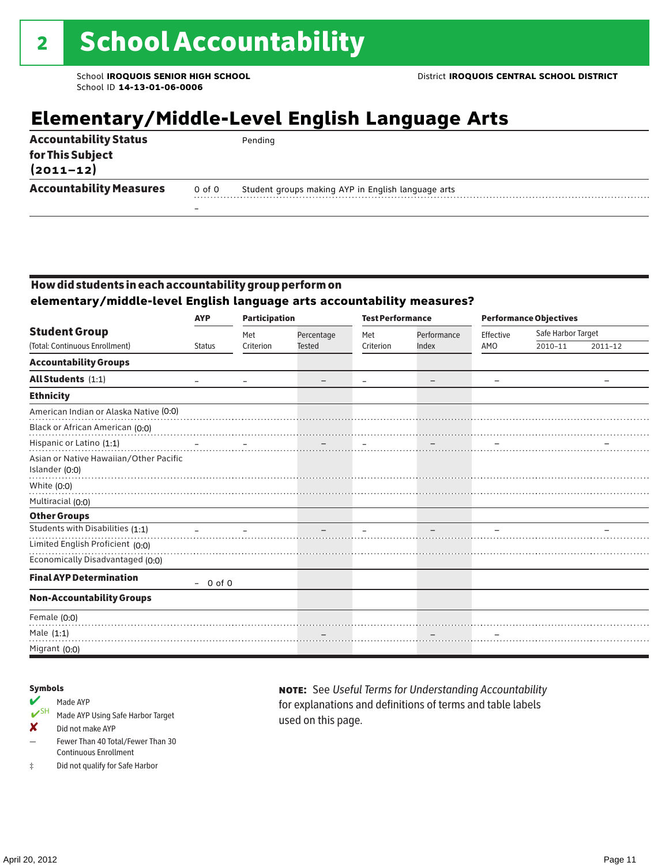## **Elementary/Middle-Level English Language Arts**

| <b>Accountability Status</b>      |        | Pending                                            |
|-----------------------------------|--------|----------------------------------------------------|
| for This Subject<br>$(2011 - 12)$ |        |                                                    |
| <b>Accountability Measures</b>    | 0 of 0 | Student groups making AYP in English language arts |
|                                   |        |                                                    |

## How did students in each accountability group perform on

**elementary/middle-level English language arts accountability measures?**

|                                                          | <b>AYP</b>    | <b>Participation</b> |                          | <b>Test Performance</b>  |                          | <b>Performance Objectives</b> |                    |         |
|----------------------------------------------------------|---------------|----------------------|--------------------------|--------------------------|--------------------------|-------------------------------|--------------------|---------|
| <b>Student Group</b>                                     |               | Met                  | Percentage               | Met                      | Performance              | Effective                     | Safe Harbor Target |         |
| (Total: Continuous Enrollment)                           | <b>Status</b> | Criterion            | <b>Tested</b>            | Criterion                | Index                    | AMO                           | 2010-11            | 2011-12 |
| <b>Accountability Groups</b>                             |               |                      |                          |                          |                          |                               |                    |         |
| All Students (1:1)                                       |               |                      | $\overline{\phantom{0}}$ | $\overline{\phantom{m}}$ | $\overline{\phantom{0}}$ | $\overline{\phantom{0}}$      |                    |         |
| <b>Ethnicity</b>                                         |               |                      |                          |                          |                          |                               |                    |         |
| American Indian or Alaska Native (0:0)                   |               |                      |                          |                          |                          |                               |                    |         |
| Black or African American (0:0)                          |               |                      |                          |                          |                          |                               |                    |         |
| Hispanic or Latino (1:1)                                 |               |                      |                          |                          |                          |                               |                    |         |
| Asian or Native Hawaiian/Other Pacific<br>Islander (0:0) |               |                      |                          |                          |                          |                               |                    |         |
| White (0:0)                                              |               |                      |                          |                          |                          |                               |                    |         |
| Multiracial (0:0)                                        |               |                      |                          |                          |                          |                               |                    |         |
| <b>Other Groups</b>                                      |               |                      |                          |                          |                          |                               |                    |         |
| Students with Disabilities (1:1)                         |               |                      |                          |                          |                          |                               |                    |         |
| Limited English Proficient (0:0)                         |               |                      |                          |                          |                          |                               |                    |         |
| Economically Disadvantaged (0:0)                         |               |                      |                          |                          |                          |                               |                    |         |
| <b>Final AYP Determination</b>                           | $-0$ of 0     |                      |                          |                          |                          |                               |                    |         |
| <b>Non-Accountability Groups</b>                         |               |                      |                          |                          |                          |                               |                    |         |
| Female $(0:0)$                                           |               |                      |                          |                          |                          |                               |                    |         |
| Male (1:1)                                               |               |                      |                          |                          |                          |                               |                    |         |
| Migrant (0:0)                                            |               |                      |                          |                          |                          |                               |                    |         |

### Symbols

- Made AYP<br>
SH Made AYP Made AYP Using Safe Harbor Target
- ✘ Did not make AYP
- Fewer Than 40 Total/Fewer Than 30 Continuous Enrollment
- ‡ Did not qualify for Safe Harbor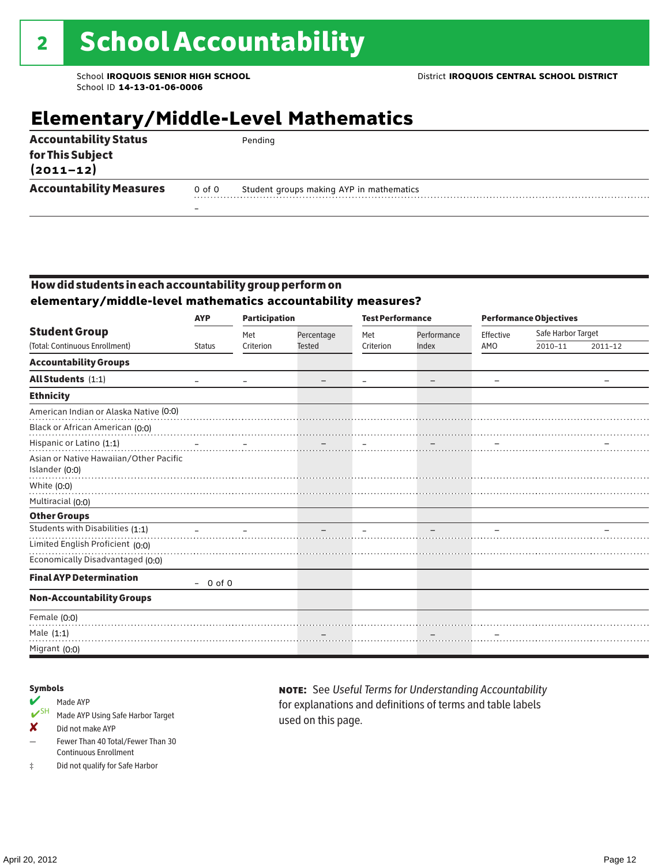## **Elementary/Middle-Level Mathematics**

| <b>Accountability Status</b>      |        | Pending                                  |  |
|-----------------------------------|--------|------------------------------------------|--|
| for This Subject<br>$(2011 - 12)$ |        |                                          |  |
| <b>Accountability Measures</b>    | 0 of 0 | Student groups making AYP in mathematics |  |
|                                   |        |                                          |  |

## How did students in each accountability group perform on **elementary/middle-level mathematics accountability measures?**

|                                        | <b>AYP</b>    | <b>Participation</b> |               | <b>Test Performance</b> |                   | <b>Performance Objectives</b> |                    |             |
|----------------------------------------|---------------|----------------------|---------------|-------------------------|-------------------|-------------------------------|--------------------|-------------|
| <b>Student Group</b>                   |               | Met                  | Percentage    | Met                     | Performance       | Effective                     | Safe Harbor Target |             |
| (Total: Continuous Enrollment)         | <b>Status</b> | Criterion            | <b>Tested</b> | Criterion               | Index             | AMO                           | 2010-11            | $2011 - 12$ |
| <b>Accountability Groups</b>           |               |                      |               |                         |                   |                               |                    |             |
| All Students (1:1)                     |               |                      | -             | $\qquad \qquad -$       | $\qquad \qquad -$ | $\overline{\phantom{m}}$      |                    |             |
| <b>Ethnicity</b>                       |               |                      |               |                         |                   |                               |                    |             |
| American Indian or Alaska Native (0:0) |               |                      |               |                         |                   |                               |                    |             |
| Black or African American (0:0)        |               |                      |               |                         |                   |                               |                    |             |
| Hispanic or Latino (1:1)               |               |                      |               |                         |                   |                               |                    |             |
| Asian or Native Hawaiian/Other Pacific |               |                      |               |                         |                   |                               |                    |             |
| Islander (0:0)                         |               |                      |               |                         |                   |                               |                    |             |
| White (0:0)                            |               |                      |               |                         |                   |                               |                    |             |
| Multiracial (0:0)                      |               |                      |               |                         |                   |                               |                    |             |
| <b>Other Groups</b>                    |               |                      |               |                         |                   |                               |                    |             |
| Students with Disabilities (1:1)       |               |                      |               |                         |                   |                               |                    |             |
| Limited English Proficient (0:0)       |               |                      |               |                         |                   |                               |                    |             |
| Economically Disadvantaged (0:0)       |               |                      |               |                         |                   |                               |                    |             |
| <b>Final AYP Determination</b>         | $-0$ of 0     |                      |               |                         |                   |                               |                    |             |
| <b>Non-Accountability Groups</b>       |               |                      |               |                         |                   |                               |                    |             |
| Female (0:0)                           |               |                      |               |                         |                   |                               |                    |             |
| Male (1:1)                             |               |                      |               |                         |                   |                               |                    |             |
| Migrant (0:0)                          |               |                      |               |                         |                   |                               |                    |             |

### Symbols

- Made AYP<br>
SH Made AYP Made AYP Using Safe Harbor Target
- ✘ Did not make AYP
- Fewer Than 40 Total/Fewer Than 30 Continuous Enrollment
- ‡ Did not qualify for Safe Harbor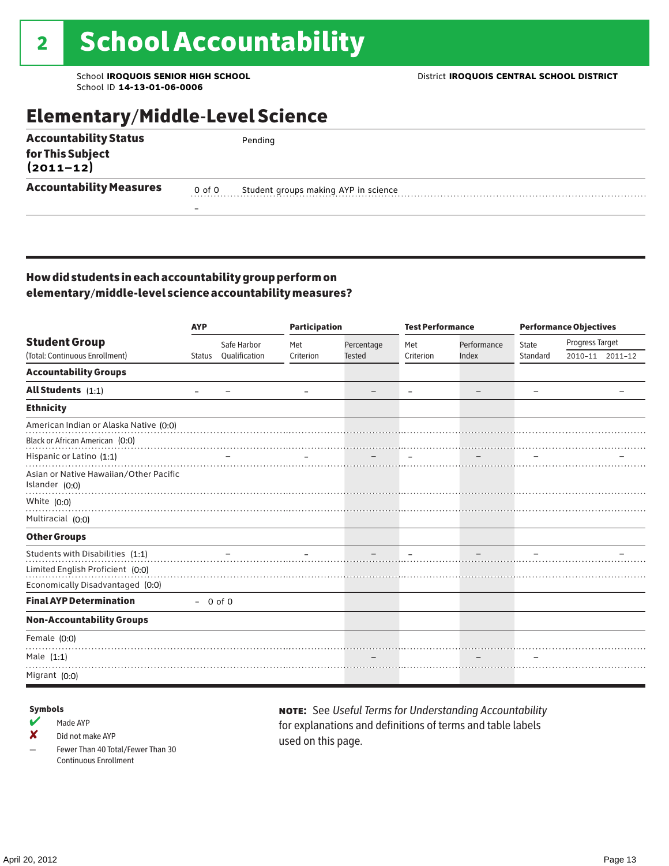## Elementary/Middle-Level Science

| <b>Accountability Status</b>   |            | Pending                              |  |
|--------------------------------|------------|--------------------------------------|--|
| for This Subject<br>(2011–12)  |            |                                      |  |
| <b>Accountability Measures</b> | $0$ of $0$ | Student groups making AYP in science |  |
|                                | -          |                                      |  |

## How did students in each accountability group perform on elementary/middle-level science accountability measures?

|                                                          | <b>AYP</b>             |               |           | <b>Participation</b> |                          | <b>Test Performance</b>  | <b>Performance Objectives</b> |                 |                 |
|----------------------------------------------------------|------------------------|---------------|-----------|----------------------|--------------------------|--------------------------|-------------------------------|-----------------|-----------------|
| <b>Student Group</b>                                     |                        | Safe Harbor   | Met       | Percentage           | Met                      | Performance              | State                         | Progress Target |                 |
| (Total: Continuous Enrollment)                           | Status                 | Qualification | Criterion | <b>Tested</b>        | Criterion                | Index                    | Standard                      |                 | 2010-11 2011-12 |
| <b>Accountability Groups</b>                             |                        |               |           |                      |                          |                          |                               |                 |                 |
| All Students $(1:1)$                                     | $\qquad \qquad \qquad$ |               |           |                      | $\overline{\phantom{m}}$ | $\overline{\phantom{m}}$ | $\overline{\phantom{0}}$      |                 |                 |
| <b>Ethnicity</b>                                         |                        |               |           |                      |                          |                          |                               |                 |                 |
| American Indian or Alaska Native (0:0)                   |                        |               |           |                      |                          |                          |                               |                 |                 |
| Black or African American (0:0)                          |                        |               |           |                      |                          |                          |                               |                 |                 |
| Hispanic or Latino (1:1)                                 |                        |               |           |                      |                          |                          |                               |                 |                 |
| Asian or Native Hawaiian/Other Pacific<br>Islander (0:0) |                        |               |           |                      |                          |                          |                               |                 |                 |
| White $(0:0)$                                            |                        |               |           |                      |                          |                          |                               |                 |                 |
| Multiracial (0:0)                                        |                        |               |           |                      |                          |                          |                               |                 |                 |
| <b>Other Groups</b>                                      |                        |               |           |                      |                          |                          |                               |                 |                 |
| Students with Disabilities (1:1)                         |                        |               |           |                      |                          |                          |                               |                 |                 |
| Limited English Proficient (0:0)                         |                        |               |           |                      |                          |                          |                               |                 |                 |
| Economically Disadvantaged (0:0)                         |                        |               |           |                      |                          |                          |                               |                 |                 |
| <b>Final AYP Determination</b>                           | $-0$ of 0              |               |           |                      |                          |                          |                               |                 |                 |
| <b>Non-Accountability Groups</b>                         |                        |               |           |                      |                          |                          |                               |                 |                 |
| Female $(0:0)$                                           |                        |               |           |                      |                          |                          |                               |                 |                 |
| Male $(1:1)$                                             |                        |               |           |                      |                          |                          |                               |                 |                 |
| Migrant (0:0)                                            |                        |               |           |                      |                          |                          |                               |                 |                 |

### Symbols

- $M$  Made AYP
- ✘ Did not make AYP
- Fewer Than 40 Total/Fewer Than 30 Continuous Enrollment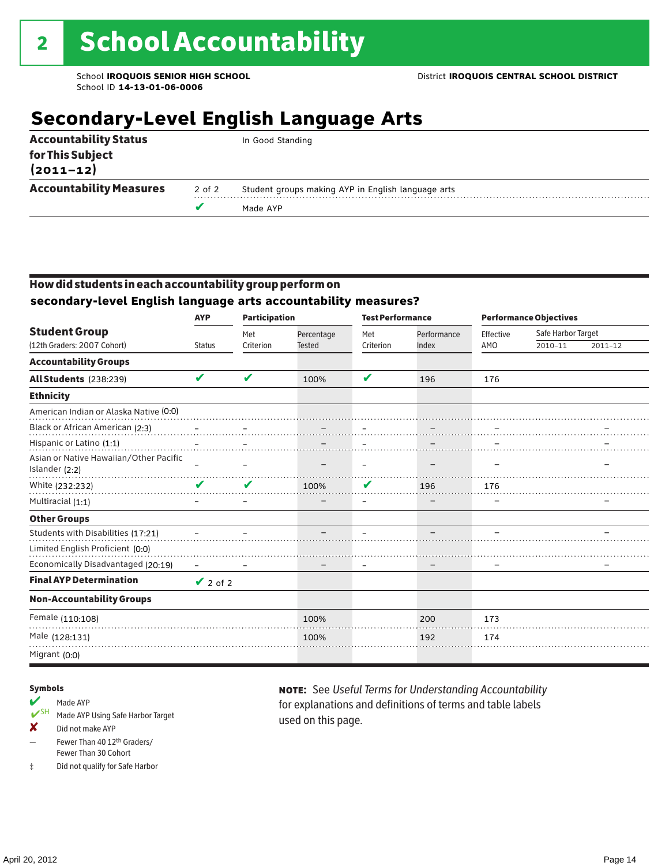## **Secondary-Level English Language Arts**

| <b>Accountability Status</b><br>for This Subject |        | In Good Standing                                   |
|--------------------------------------------------|--------|----------------------------------------------------|
| $(2011 - 12)$                                    |        |                                                    |
| <b>Accountability Measures</b>                   | 2 of 2 | Student groups making AYP in English language arts |
|                                                  |        | Made AYP                                           |

## How did students in each accountability group perform on **secondary-level English language arts accountability measures?**

|                                                          | <b>Participation</b><br><b>AYP</b> |           |               | <b>Test Performance</b> |                          | <b>Performance Objectives</b> |                    |         |
|----------------------------------------------------------|------------------------------------|-----------|---------------|-------------------------|--------------------------|-------------------------------|--------------------|---------|
| <b>Student Group</b>                                     |                                    | Met       | Percentage    | Met                     | Performance              | Effective                     | Safe Harbor Target |         |
| (12th Graders: 2007 Cohort)                              | <b>Status</b>                      | Criterion | <b>Tested</b> | Criterion               | Index                    | AMO                           | 2010-11            | 2011-12 |
| <b>Accountability Groups</b>                             |                                    |           |               |                         |                          |                               |                    |         |
| <b>All Students</b> (238:239)                            | $\boldsymbol{\mathcal{U}}$         | V         | 100%          | V                       | 196                      | 176                           |                    |         |
| <b>Ethnicity</b>                                         |                                    |           |               |                         |                          |                               |                    |         |
| American Indian or Alaska Native (0:0)                   |                                    |           |               |                         |                          |                               |                    |         |
| Black or African American (2:3)                          |                                    |           |               |                         |                          |                               |                    |         |
| Hispanic or Latino (1:1)                                 |                                    |           |               |                         |                          |                               |                    |         |
| Asian or Native Hawaiian/Other Pacific<br>Islander (2:2) |                                    |           |               |                         |                          |                               |                    |         |
| White (232:232)                                          | v                                  | V         | 100%          | V                       | 196                      | 176                           |                    |         |
| Multiracial (1:1)                                        |                                    |           |               |                         |                          |                               |                    |         |
| <b>Other Groups</b>                                      |                                    |           |               |                         |                          |                               |                    |         |
| Students with Disabilities (17:21)                       |                                    |           |               |                         |                          |                               |                    |         |
| Limited English Proficient (0:0)                         |                                    |           |               |                         |                          |                               |                    |         |
| Economically Disadvantaged (20:19)                       |                                    |           |               |                         | $\overline{\phantom{0}}$ | $\overline{\phantom{0}}$      |                    |         |
| <b>Final AYP Determination</b>                           | $\vee$ 2 of 2                      |           |               |                         |                          |                               |                    |         |
| <b>Non-Accountability Groups</b>                         |                                    |           |               |                         |                          |                               |                    |         |
| Female (110:108)                                         |                                    |           | 100%          |                         | 200                      | 173                           |                    |         |
| Male (128:131)                                           |                                    |           | 100%          |                         | 192                      | 174                           |                    |         |
| Migrant (0:0)                                            |                                    |           |               |                         |                          |                               |                    |         |

### Symbols

### Made AYP

- ✔SH Made AYP Using Safe Harbor Target
- ✘ Did not make AYP
- Fewer Than 40 12th Graders/ Fewer Than 30 Cohort
- ‡ Did not qualify for Safe Harbor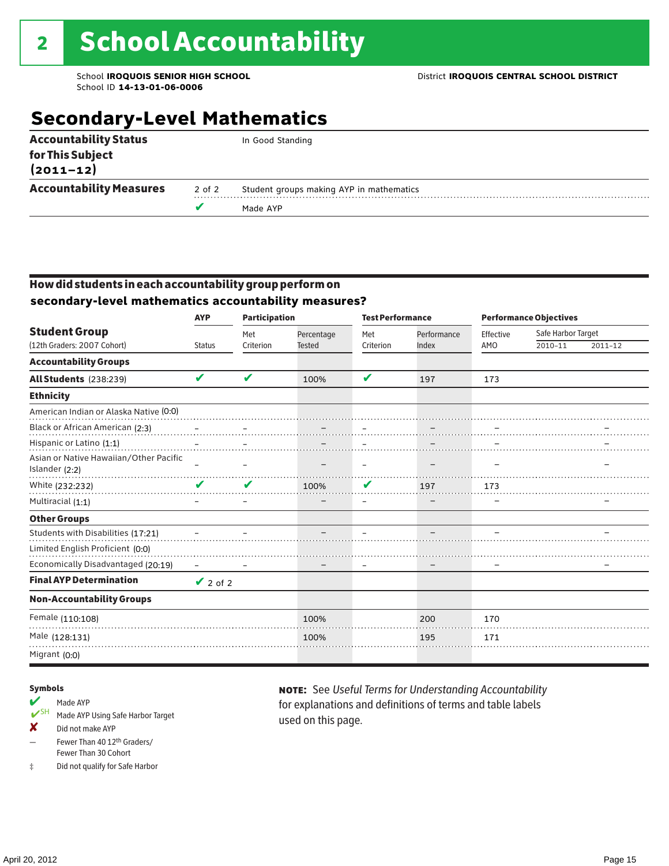## **Secondary-Level Mathematics**

| <b>Accountability Status</b>      |        | In Good Standing                         |
|-----------------------------------|--------|------------------------------------------|
| for This Subject<br>$(2011 - 12)$ |        |                                          |
| <b>Accountability Measures</b>    | 2 of 2 | Student groups making AYP in mathematics |
|                                   |        | Made AYP                                 |
|                                   |        |                                          |

## How did students in each accountability group perform on **secondary-level mathematics accountability measures?**

|                                                          | <b>Participation</b><br><b>AYP</b> |           |               | <b>Test Performance</b>  |             | <b>Performance Objectives</b> |                    |         |
|----------------------------------------------------------|------------------------------------|-----------|---------------|--------------------------|-------------|-------------------------------|--------------------|---------|
| <b>Student Group</b>                                     |                                    | Met       | Percentage    | Met                      | Performance | Effective                     | Safe Harbor Target |         |
| (12th Graders: 2007 Cohort)                              | <b>Status</b>                      | Criterion | <b>Tested</b> | Criterion                | Index       | AMO                           | 2010-11            | 2011-12 |
| <b>Accountability Groups</b>                             |                                    |           |               |                          |             |                               |                    |         |
| <b>All Students</b> (238:239)                            | V                                  | V         | 100%          | $\mathbf{v}$             | 197         | 173                           |                    |         |
| <b>Ethnicity</b>                                         |                                    |           |               |                          |             |                               |                    |         |
| American Indian or Alaska Native (0:0)                   |                                    |           |               |                          |             |                               |                    |         |
| Black or African American (2:3)                          |                                    |           |               |                          |             |                               |                    |         |
| Hispanic or Latino (1:1)                                 |                                    |           |               |                          |             |                               |                    |         |
| Asian or Native Hawaiian/Other Pacific<br>Islander (2:2) |                                    |           |               |                          |             |                               |                    |         |
| White (232:232)                                          | V                                  | V         | 100%          | V                        | 197         | 173                           |                    |         |
| Multiracial (1:1)                                        |                                    |           |               |                          |             |                               |                    |         |
| <b>Other Groups</b>                                      |                                    |           |               |                          |             |                               |                    |         |
| Students with Disabilities (17:21)                       |                                    |           |               |                          |             |                               |                    |         |
| Limited English Proficient (0:0)                         |                                    |           |               |                          |             |                               |                    |         |
| Economically Disadvantaged (20:19)                       |                                    |           |               | $\overline{\phantom{0}}$ |             |                               |                    |         |
| <b>Final AYP Determination</b>                           | $\vee$ 2 of 2                      |           |               |                          |             |                               |                    |         |
| <b>Non-Accountability Groups</b>                         |                                    |           |               |                          |             |                               |                    |         |
| Female (110:108)                                         |                                    |           | 100%          |                          | 200         | 170                           |                    |         |
| Male (128:131)                                           |                                    |           | 100%          |                          | 195         | 171                           |                    |         |
| Migrant (0:0)                                            |                                    |           |               |                          |             |                               |                    |         |

### Symbols

- Made AYP<br>
SH Made AVP Made AYP Using Safe Harbor Target
- ✘ Did not make AYP
- Fewer Than 40 12th Graders/ Fewer Than 30 Cohort
- ‡ Did not qualify for Safe Harbor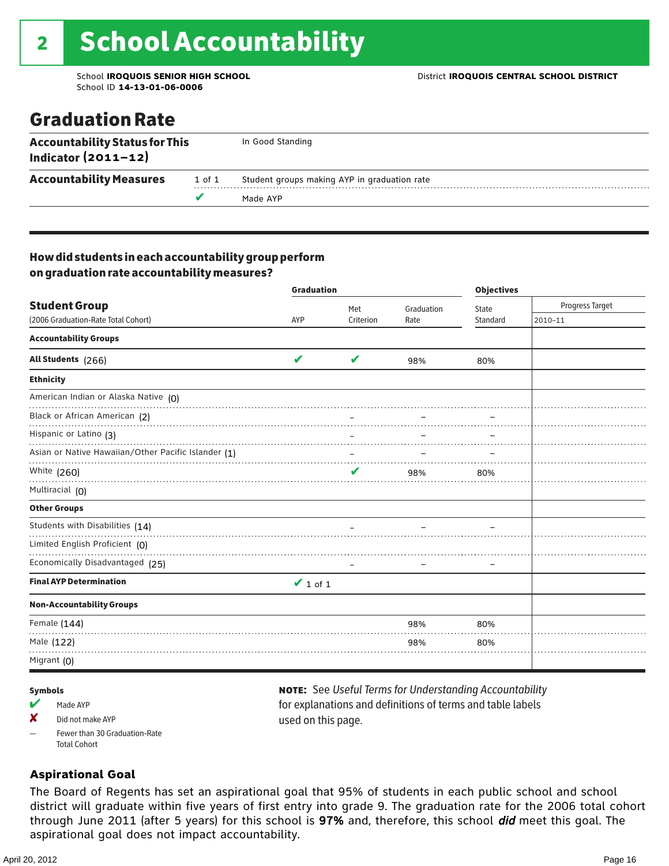## Graduation Rate

| <b>Accountability Status for This</b><br>Indicator $(2011-12)$ |        | In Good Standing                             |
|----------------------------------------------------------------|--------|----------------------------------------------|
| <b>Accountability Measures</b>                                 | 1 of 1 | Student groups making AYP in graduation rate |
|                                                                |        | Made AYP                                     |

## How did students in each accountability group perform on graduation rate accountability measures?

|                                                     | <b>Graduation</b> |                            | <b>Objectives</b> |          |                 |  |
|-----------------------------------------------------|-------------------|----------------------------|-------------------|----------|-----------------|--|
| <b>Student Group</b>                                |                   | Met                        | Graduation        | State    | Progress Target |  |
| (2006 Graduation-Rate Total Cohort)                 | AYP               | Criterion                  | Rate              | Standard | 2010-11         |  |
| <b>Accountability Groups</b>                        |                   |                            |                   |          |                 |  |
| All Students (266)                                  | V                 | $\boldsymbol{\mathcal{U}}$ | 98%               | 80%      |                 |  |
| <b>Ethnicity</b>                                    |                   |                            |                   |          |                 |  |
| American Indian or Alaska Native (O)                |                   |                            |                   |          |                 |  |
| Black or African American (2)                       |                   |                            |                   |          |                 |  |
| Hispanic or Latino (3)                              |                   |                            |                   |          |                 |  |
| Asian or Native Hawaiian/Other Pacific Islander (1) |                   |                            |                   |          |                 |  |
| White (260)                                         |                   |                            | 98%               | 80%      |                 |  |
| Multiracial (0)                                     |                   |                            |                   |          |                 |  |
| <b>Other Groups</b>                                 |                   |                            |                   |          |                 |  |
| Students with Disabilities (14)                     |                   |                            |                   |          |                 |  |
| Limited English Proficient (0)                      |                   |                            |                   |          |                 |  |
| Economically Disadvantaged (25)                     |                   |                            |                   |          |                 |  |
| <b>Final AYP Determination</b>                      | $\vee$ 1 of 1     |                            |                   |          |                 |  |
| <b>Non-Accountability Groups</b>                    |                   |                            |                   |          |                 |  |
| Female (144)                                        |                   |                            | 98%               | 80%      |                 |  |
| Male (122)                                          |                   |                            | 98%               | 80%      |                 |  |
| Migrant $(0)$                                       |                   |                            |                   |          |                 |  |

### Symbols

- Made AYP
- X Did not make AYP
- Fewer than 30 Graduation-Rate Total Cohort

## note: See *Useful Terms for Understanding Accountability*  for explanations and definitions of terms and table labels used on this page.

## **Aspirational Goal**

The Board of Regents has set an aspirational goal that 95% of students in each public school and school district will graduate within five years of first entry into grade 9. The graduation rate for the 2006 total cohort through June 2011 (after 5 years) for this school is 97% and, therefore, this school did meet this goal. The aspirational goal does not impact accountability.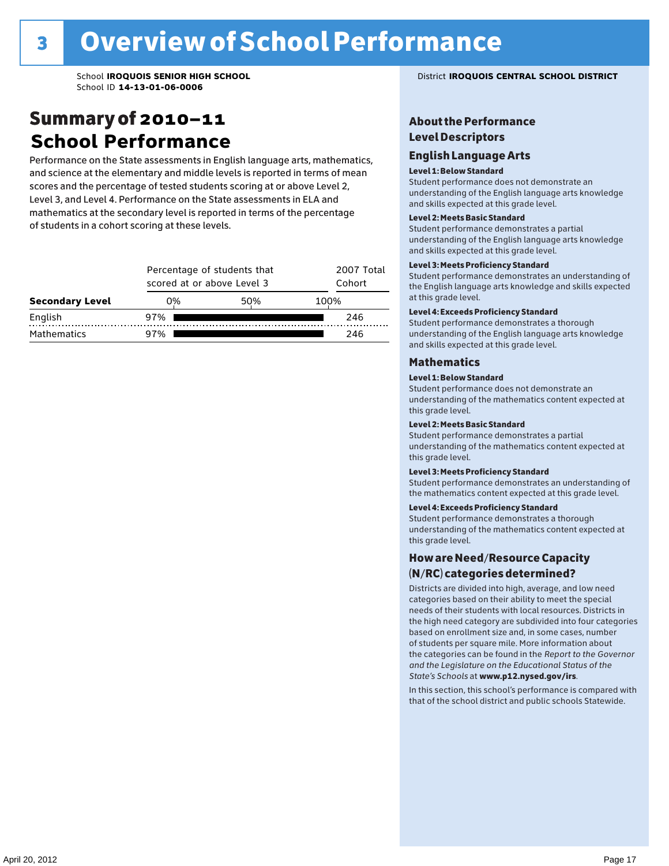## Summary of 2010–11 **School Performance**

Performance on the State assessments in English language arts, mathematics, and science at the elementary and middle levels is reported in terms of mean scores and the percentage of tested students scoring at or above Level 2, Level 3, and Level 4. Performance on the State assessments in ELA and mathematics at the secondary level is reported in terms of the percentage of students in a cohort scoring at these levels.

|                        |     | Percentage of students that<br>scored at or above Level 3 |      |     |  |  |  |
|------------------------|-----|-----------------------------------------------------------|------|-----|--|--|--|
| <b>Secondary Level</b> | 0%  | 50%                                                       | 100% |     |  |  |  |
| English                | 97% |                                                           |      | 246 |  |  |  |
| <b>Mathematics</b>     | 97% |                                                           |      | 246 |  |  |  |

### School **IROQUOIS SENIOR HIGH SCHOOL** District **IROQUOIS CENTRAL SCHOOL DISTRICT**

## About the Performance Level Descriptors

### English Language Arts English Language Arts

### Level 1: Below Standard

understanding of the content expected in the subjection of the subjection  $\mathcal{L}$ Student performance does not demonstrate an and skills expected at this grade level. understanding of the English language arts knowledge

### Student performance demonstrates a partial Level 2: Meets Basic Standard understanding of the content expected in the subject of the subject of the subject of the subject of the subject

Student performance demonstrates a partial and skills expected at this grade level. Students performance demonstrates and understanding and understanding and understanding and understanding and u understanding of the English language arts knowledge

## Level 3: Meets Proficiency Standard

Level 4: Meeting Learning Standards with Distinction. the English language arts knowledge and skills expected at this grade level.<br>at this grade level.  $\mathbf{u}$  and  $\mathbf{y}$  and  $\mathbf{u}$  the subjected in the subjected in the subjected in the subjection  $\mathbf{v}$ Student performance demonstrates an understanding of

## Level 4: Exceeds Proficiency Standard

understanding of the English language arts knowledge and skills expected at this grade level.<br>———————————————————— Student performance demonstrates a thorough

### Districts are districts and low need in the low need  $\sim$

### categories based on their ability to meet the special Level 1: Below Standard

Student performance does not demonstrate an understanding of the mathematics content expected at  $\frac{1}{2}$  based on enrollment size and, in some cases, number  $\frac{1}{2}$  and,  $\frac{1}{2}$  and,  $\frac{1}{2}$ 

## $\overline{\mathsf{Level}}$  2: Meets Basic Standard about  $\overline{\mathsf{Level}}$

the categories can be found in the *Report to the Governor categories* can be found in the *Report to the Govern*or  $\alpha$ *and the Legislature on the Educational Status of the*  Student performance demonstrates a partial understanding of the mathematics content expected at this grade level.

## Level 3: Meets Proficiency Standard

Student performance demonstrates an understanding of the mathematics content expected at this grade level.

### Level 4: Exceeds Proficiency Standard

Student performance demonstrates a thorough understanding of the mathematics content expected at this grade level.  $\mathcal{L}_{\text{max}}$  is performance with that of similar  $\mathcal{L}_{\text{max}}$ 

### schools. The following factors are considered in grouping How are Need/Resource Capacity  $(N/RC)$  categories determined?  $\hphantom{N(2)}\sum_{n=1}^{\infty}\frac{1}{n}$

Districts are divided into high, average, and low need categories based on their ability to meet the special needs of their students with local resources. Districts in the high need category are subdivided into four categories based on enrollment size and, in some cases, number of students per square mile. More information about the categories can be found in the *Report to the Governor* Group: *State's Schools* at www.p12.nysed.gov/irs. *and the Legislature on the Educational Status of the* 

In this section, this school's performance is compared with that of the school district and public schools Statewide.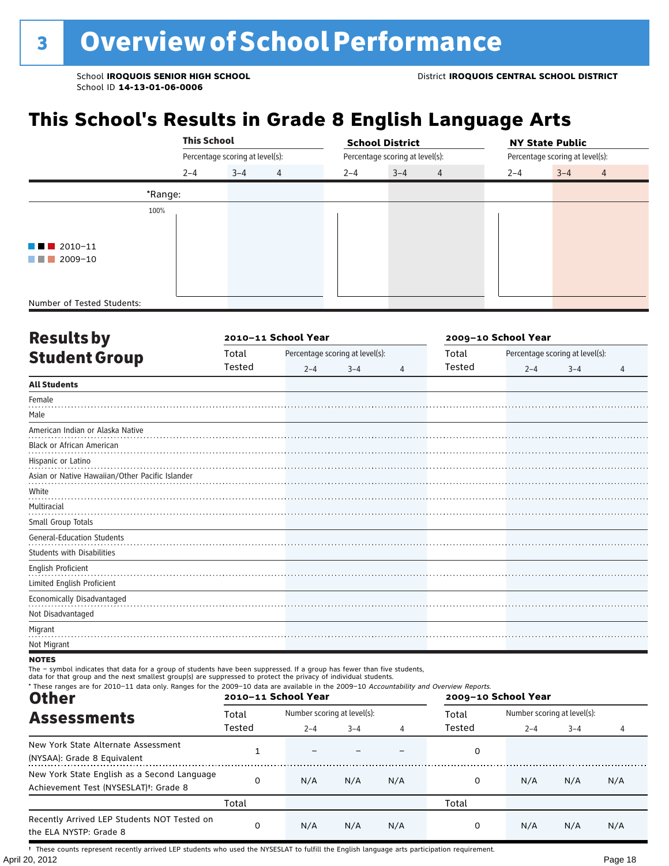## **This School's Results in Grade 8 English Language Arts**

|                            |         | <b>This School</b>              |   |                                 | <b>School District</b> |                |                                 | <b>NY State Public</b>    |  |  |
|----------------------------|---------|---------------------------------|---|---------------------------------|------------------------|----------------|---------------------------------|---------------------------|--|--|
|                            |         | Percentage scoring at level(s): |   | Percentage scoring at level(s): |                        |                | Percentage scoring at level(s): |                           |  |  |
|                            | $2 - 4$ | $3 - 4$                         | 4 | $2 - 4$                         | $3 - 4$                | $\overline{4}$ | $2 - 4$                         | $3 - 4$<br>$\overline{4}$ |  |  |
|                            | *Range: |                                 |   |                                 |                        |                |                                 |                           |  |  |
|                            | 100%    |                                 |   |                                 |                        |                |                                 |                           |  |  |
|                            |         |                                 |   |                                 |                        |                |                                 |                           |  |  |
| $\blacksquare$ 2010-11     |         |                                 |   |                                 |                        |                |                                 |                           |  |  |
| 2009-10<br>a sa Tan        |         |                                 |   |                                 |                        |                |                                 |                           |  |  |
|                            |         |                                 |   |                                 |                        |                |                                 |                           |  |  |
| Number of Tested Students: |         |                                 |   |                                 |                        |                |                                 |                           |  |  |

| <b>Results by</b>                               |        | 2010-11 School Year |                                 |   | 2009-10 School Year |         |                                 |   |  |
|-------------------------------------------------|--------|---------------------|---------------------------------|---|---------------------|---------|---------------------------------|---|--|
| <b>Student Group</b>                            | Total  |                     | Percentage scoring at level(s): |   | Total               |         | Percentage scoring at level(s): |   |  |
|                                                 | Tested | $2 - 4$             | $3 - 4$                         | 4 | Tested              | $2 - 4$ | $3 - 4$                         | 4 |  |
| <b>All Students</b>                             |        |                     |                                 |   |                     |         |                                 |   |  |
| Female                                          |        |                     |                                 |   |                     |         |                                 |   |  |
| Male                                            |        |                     |                                 |   |                     |         |                                 |   |  |
| American Indian or Alaska Native                |        |                     |                                 |   |                     |         |                                 |   |  |
| <b>Black or African American</b>                |        |                     |                                 |   |                     |         |                                 |   |  |
| Hispanic or Latino                              |        |                     |                                 |   |                     |         |                                 |   |  |
| Asian or Native Hawaiian/Other Pacific Islander |        |                     |                                 |   |                     |         |                                 |   |  |
| White                                           |        |                     |                                 |   |                     |         |                                 |   |  |
| Multiracial                                     |        |                     |                                 |   |                     |         |                                 |   |  |
| Small Group Totals                              |        |                     |                                 |   |                     |         |                                 |   |  |
| <b>General-Education Students</b>               |        |                     |                                 |   |                     |         |                                 |   |  |
| <b>Students with Disabilities</b>               |        |                     |                                 |   |                     |         |                                 |   |  |
| English Proficient                              |        |                     |                                 |   |                     |         |                                 |   |  |
| Limited English Proficient                      |        |                     |                                 |   |                     |         |                                 |   |  |
| Economically Disadvantaged                      |        |                     |                                 |   |                     |         |                                 |   |  |
| Not Disadvantaged                               |        |                     |                                 |   |                     |         |                                 |   |  |
| Migrant                                         |        |                     |                                 |   |                     |         |                                 |   |  |
| Not Migrant                                     |        |                     |                                 |   |                     |         |                                 |   |  |

**NOTES** 

The – symbol indicates that data for a group of students have been suppressed. If a group has fewer than five students,<br>data for that group and the next smallest group(s) are suppressed to protect the privacy of individual

| * These ranges are for 2010-11 data only. Ranges for the 2009-10 data are available in the 2009-10 Accountability and Overview Reports.<br><b>Other</b> |        | 2010-11 School Year |                             |     | 2009-10 School Year |                             |         |     |
|---------------------------------------------------------------------------------------------------------------------------------------------------------|--------|---------------------|-----------------------------|-----|---------------------|-----------------------------|---------|-----|
| <b>Assessments</b>                                                                                                                                      | Total  |                     | Number scoring at level(s): |     |                     | Number scoring at level(s): |         |     |
|                                                                                                                                                         | Tested | $2 - 4$             | $3 - 4$                     | 4   | Tested              | $2 - 4$                     | $3 - 4$ | 4   |
| New York State Alternate Assessment<br>(NYSAA): Grade 8 Equivalent                                                                                      |        |                     |                             |     | 0                   |                             |         |     |
| New York State English as a Second Language<br>Achievement Test (NYSESLAT) <sup>+</sup> : Grade 8                                                       |        | N/A                 | N/A                         | N/A | 0                   | N/A                         | N/A     | N/A |
|                                                                                                                                                         | Total  |                     |                             |     | Total               |                             |         |     |
| Recently Arrived LEP Students NOT Tested on<br>the ELA NYSTP: Grade 8                                                                                   | 0      | N/A                 | N/A                         | N/A | 0                   | N/A                         | N/A     | N/A |

April 20, 2012 Page 18 † These counts represent recently arrived LEP students who used the NYSESLAT to fulfill the English language arts participation requirement.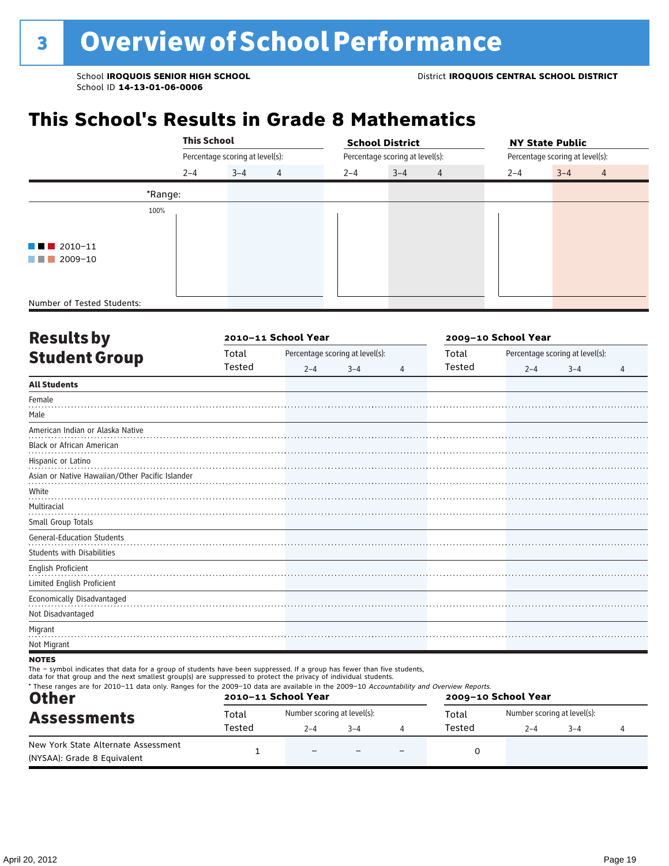## **This School's Results in Grade 8 Mathematics**

|                            |         | <b>This School</b>              |   | <b>School District</b>          |                           |  | <b>NY State Public</b>          |         |                |  |
|----------------------------|---------|---------------------------------|---|---------------------------------|---------------------------|--|---------------------------------|---------|----------------|--|
|                            |         | Percentage scoring at level(s): |   | Percentage scoring at level(s): |                           |  | Percentage scoring at level(s): |         |                |  |
|                            | $2 - 4$ | $3 - 4$                         | 4 | $2 - 4$                         | $3 - 4$<br>$\overline{4}$ |  | $2 - 4$                         | $3 - 4$ | $\overline{4}$ |  |
|                            | *Range: |                                 |   |                                 |                           |  |                                 |         |                |  |
|                            | 100%    |                                 |   |                                 |                           |  |                                 |         |                |  |
|                            |         |                                 |   |                                 |                           |  |                                 |         |                |  |
| $\blacksquare$ 2010-11     |         |                                 |   |                                 |                           |  |                                 |         |                |  |
| $\blacksquare$ 2009-10     |         |                                 |   |                                 |                           |  |                                 |         |                |  |
|                            |         |                                 |   |                                 |                           |  |                                 |         |                |  |
|                            |         |                                 |   |                                 |                           |  |                                 |         |                |  |
| Number of Tested Students: |         |                                 |   |                                 |                           |  |                                 |         |                |  |

| <b>Results by</b>                               |        | 2010-11 School Year |                                 | 2009-10 School Year |               |         |                                 |                |
|-------------------------------------------------|--------|---------------------|---------------------------------|---------------------|---------------|---------|---------------------------------|----------------|
| <b>Student Group</b>                            | Total  |                     | Percentage scoring at level(s): |                     | Total         |         | Percentage scoring at level(s): |                |
|                                                 | Tested | $2 - 4$             | $3 - 4$                         | 4                   | <b>Tested</b> | $2 - 4$ | $3 - 4$                         | $\overline{4}$ |
| <b>All Students</b>                             |        |                     |                                 |                     |               |         |                                 |                |
| Female                                          |        |                     |                                 |                     |               |         |                                 |                |
| Male                                            |        |                     |                                 |                     |               |         |                                 |                |
| American Indian or Alaska Native                |        |                     |                                 |                     |               |         |                                 |                |
| <b>Black or African American</b>                |        |                     |                                 |                     |               |         |                                 |                |
| Hispanic or Latino                              |        |                     |                                 |                     |               |         |                                 |                |
| Asian or Native Hawaiian/Other Pacific Islander |        |                     |                                 |                     |               |         |                                 |                |
| White                                           |        |                     |                                 |                     |               |         |                                 |                |
| Multiracial                                     |        |                     |                                 |                     |               |         |                                 |                |
| Small Group Totals                              |        |                     |                                 |                     |               |         |                                 |                |
| <b>General-Education Students</b>               |        |                     |                                 |                     |               |         |                                 |                |
| <b>Students with Disabilities</b>               |        |                     |                                 |                     |               |         |                                 |                |
| English Proficient                              |        |                     |                                 |                     |               |         |                                 |                |
| Limited English Proficient                      |        |                     |                                 |                     |               |         |                                 |                |
| <b>Economically Disadvantaged</b>               |        |                     |                                 |                     |               |         |                                 |                |
| Not Disadvantaged                               |        |                     |                                 |                     |               |         |                                 |                |
| Migrant                                         |        |                     |                                 |                     |               |         |                                 |                |
| Not Migrant                                     |        |                     |                                 |                     |               |         |                                 |                |
|                                                 |        |                     |                                 |                     |               |         |                                 |                |

**NOTES** 

The – symbol indicates that data for a group of students have been suppressed. If a group has fewer than five students,

data for that group and the next smallest group(s) are suppressed to protect the privacy of individual students.

| <b>Other</b>                                                       |        | 2010-11 School Year         |  | 2009-10 School Year |       |                             |         |  |
|--------------------------------------------------------------------|--------|-----------------------------|--|---------------------|-------|-----------------------------|---------|--|
| <b>Assessments</b>                                                 | Total  | Number scoring at level(s): |  |                     | Total | Number scoring at level(s): |         |  |
|                                                                    | Tested | Tested<br>2–4<br>$3 - 4$    |  |                     |       |                             | $3 - 4$ |  |
| New York State Alternate Assessment<br>(NYSAA): Grade 8 Equivalent |        | $\overline{\phantom{0}}$    |  |                     |       |                             |         |  |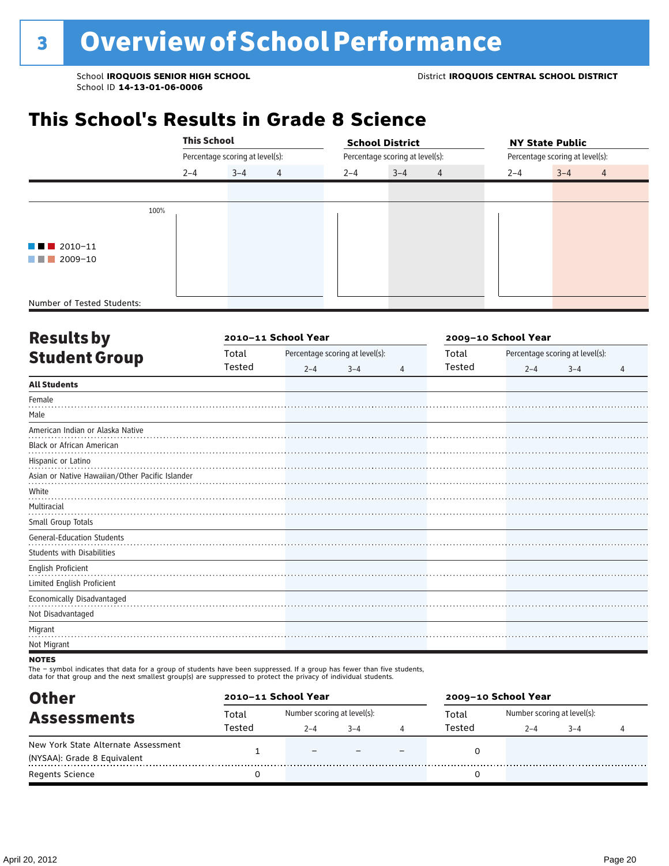## **This School's Results in Grade 8 Science**

|                            |         | <b>This School</b><br>Percentage scoring at level(s): |   |         | <b>School District</b>          |         | <b>NY State Public</b>          |
|----------------------------|---------|-------------------------------------------------------|---|---------|---------------------------------|---------|---------------------------------|
|                            |         |                                                       |   |         | Percentage scoring at level(s): |         | Percentage scoring at level(s): |
|                            | $2 - 4$ | $3 - 4$                                               | 4 | $2 - 4$ | $3 - 4$<br>$\overline{4}$       | $2 - 4$ | $3 - 4$<br>$\overline{4}$       |
|                            |         |                                                       |   |         |                                 |         |                                 |
|                            | 100%    |                                                       |   |         |                                 |         |                                 |
| $\blacksquare$ 2010-11     |         |                                                       |   |         |                                 |         |                                 |
| $\blacksquare$ 2009-10     |         |                                                       |   |         |                                 |         |                                 |
|                            |         |                                                       |   |         |                                 |         |                                 |
| Number of Tested Students: |         |                                                       |   |         |                                 |         |                                 |

| <b>Results by</b>                               |        | 2010-11 School Year |                                 |   | 2009-10 School Year |         |                                 |   |  |
|-------------------------------------------------|--------|---------------------|---------------------------------|---|---------------------|---------|---------------------------------|---|--|
| <b>Student Group</b>                            | Total  |                     | Percentage scoring at level(s): |   | Total               |         | Percentage scoring at level(s): |   |  |
|                                                 | Tested | $2 - 4$             | $3 - 4$                         | 4 | Tested              | $2 - 4$ | $3 - 4$                         | 4 |  |
| <b>All Students</b>                             |        |                     |                                 |   |                     |         |                                 |   |  |
| Female                                          |        |                     |                                 |   |                     |         |                                 |   |  |
| Male                                            |        |                     |                                 |   |                     |         |                                 |   |  |
| American Indian or Alaska Native                |        |                     |                                 |   |                     |         |                                 |   |  |
| <b>Black or African American</b>                |        |                     |                                 |   |                     |         |                                 |   |  |
| Hispanic or Latino                              |        |                     |                                 |   |                     |         |                                 |   |  |
| Asian or Native Hawaiian/Other Pacific Islander |        |                     |                                 |   |                     |         |                                 |   |  |
| White                                           |        |                     |                                 |   |                     |         |                                 |   |  |
| Multiracial                                     |        |                     |                                 |   |                     |         |                                 |   |  |
| Small Group Totals                              |        |                     |                                 |   |                     |         |                                 |   |  |
| <b>General-Education Students</b>               |        |                     |                                 |   |                     |         |                                 |   |  |
| <b>Students with Disabilities</b>               |        |                     |                                 |   |                     |         |                                 |   |  |
| English Proficient                              |        |                     |                                 |   |                     |         |                                 |   |  |
| Limited English Proficient                      |        |                     |                                 |   |                     |         |                                 |   |  |
| Economically Disadvantaged                      |        |                     |                                 |   |                     |         |                                 |   |  |
| Not Disadvantaged                               |        |                     |                                 |   |                     |         |                                 |   |  |
| Migrant                                         |        |                     |                                 |   |                     |         |                                 |   |  |
| Not Migrant                                     |        |                     |                                 |   |                     |         |                                 |   |  |

### **NOTES**

The – symbol indicates that data for a group of students have been suppressed. If a group has fewer than five students,<br>data for that group and the next smallest group(s) are suppressed to protect the privacy of individual

Other **2010–11 School Year 2009–10 School Year** Total Total

| <b>Assessments</b>                  | Total  |         | Number scoring at level(s): |  |        | Number scoring at level(s): |         |  |
|-------------------------------------|--------|---------|-----------------------------|--|--------|-----------------------------|---------|--|
|                                     | Tested | $2 - 4$ | $3 - 4$                     |  | Tested | $2 - 4$                     | $3 - 4$ |  |
| New York State Alternate Assessment |        |         |                             |  |        |                             |         |  |
| (NYSAA): Grade 8 Equivalent         |        |         |                             |  |        |                             |         |  |
| Regents Science                     |        |         |                             |  |        |                             |         |  |
|                                     |        |         |                             |  |        |                             |         |  |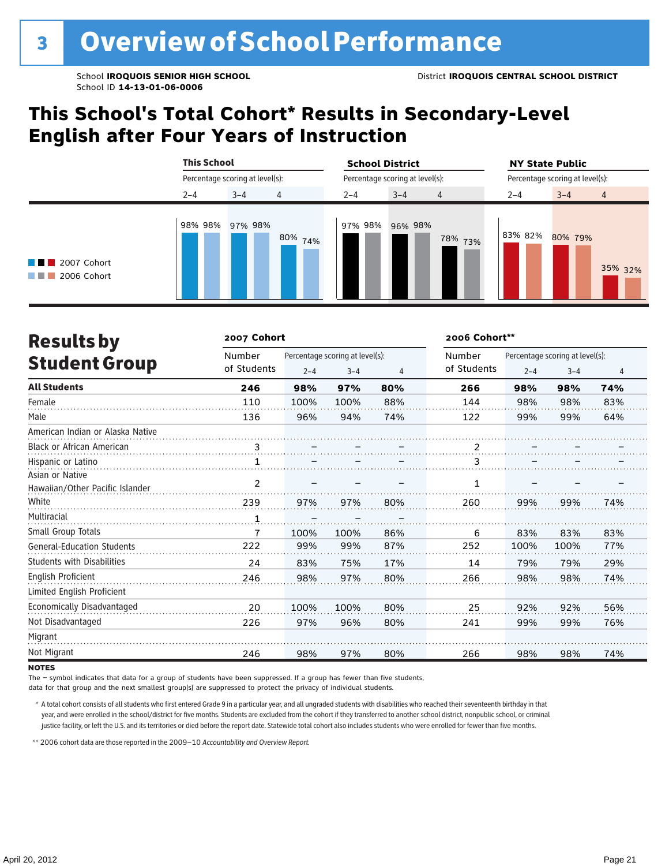## **This School's Total Cohort\* Results in Secondary-Level English after Four Years of Instruction**

|                                                  | <b>This School</b><br>Percentage scoring at level(s): |         |         | <b>School District</b>          |         |                | <b>NY State Public</b>          |         |                |  |
|--------------------------------------------------|-------------------------------------------------------|---------|---------|---------------------------------|---------|----------------|---------------------------------|---------|----------------|--|
|                                                  |                                                       |         |         | Percentage scoring at level(s): |         |                | Percentage scoring at level(s): |         |                |  |
|                                                  | $2 - 4$                                               | $3 - 4$ | 4       | $2 - 4$                         | $3 - 4$ | $\overline{4}$ | $2 - 4$                         | $3 - 4$ | $\overline{4}$ |  |
| <b>THE 2007 Cohort</b><br><b>THE 2006 Cohort</b> | 98% 98%                                               | 97% 98% | 80% 74% | 97% 98%                         | 96% 98% | 78% 73%        | 83% 82%                         | 80% 79% | 35% 32%        |  |

| <b>Results by</b>                 | 2007 Cohort    |         |                                 |     | 2006 Cohort** |         |                                 |     |
|-----------------------------------|----------------|---------|---------------------------------|-----|---------------|---------|---------------------------------|-----|
|                                   | Number         |         | Percentage scoring at level(s): |     | Number        |         | Percentage scoring at level(s): |     |
| <b>Student Group</b>              | of Students    | $2 - 4$ | $3 - 4$<br>4                    |     | of Students   | $2 - 4$ | $3 - 4$                         | 4   |
| <b>All Students</b>               | 246            | 98%     | 97%                             | 80% | 266           | 98%     | 98%                             | 74% |
| Female                            | 110            | 100%    | 100%                            | 88% | 144           | 98%     | 98%                             | 83% |
| Male                              | 136            | 96%     | 94%                             | 74% | 122           | 99%     | 99%                             | 64% |
| American Indian or Alaska Native  |                |         |                                 |     |               |         |                                 |     |
| Black or African American         | 3              |         |                                 |     | 2             |         |                                 |     |
| Hispanic or Latino                | 1              |         |                                 |     | 3             |         |                                 |     |
| Asian or Native                   | $\overline{2}$ |         |                                 |     |               |         |                                 |     |
| Hawaiian/Other Pacific Islander   |                |         |                                 |     | 1             |         |                                 |     |
| White                             | 239            | 97%     | 97%                             | 80% | 260           | 99%     | 99%                             | 74% |
| Multiracial                       | 1              |         |                                 |     |               |         |                                 |     |
| Small Group Totals                |                | 100%    | 100%                            | 86% | 6             | 83%     | 83%                             | 83% |
| <b>General-Education Students</b> | 222            | 99%     | 99%                             | 87% | 252           | 100%    | 100%                            | 77% |
| <b>Students with Disabilities</b> | 24             | 83%     | 75%                             | 17% | 14            | 79%     | 79%                             | 29% |
| English Proficient                | 246            | 98%     | 97%                             | 80% | 266           | 98%     | 98%                             | 74% |
| Limited English Proficient        |                |         |                                 |     |               |         |                                 |     |
| Economically Disadvantaged        | 20             | 100%    | 100%                            | 80% | 25            | 92%     | 92%                             | 56% |
| Not Disadvantaged                 | 226            | 97%     | 96%                             | 80% | 241           | 99%     | 99%                             | 76% |
| Migrant                           |                |         |                                 |     |               |         |                                 |     |
| Not Migrant                       | 246            | 98%     | 97%                             | 80% | 266           | 98%     | 98%                             | 74% |

### **NOTES**

The – symbol indicates that data for a group of students have been suppressed. If a group has fewer than five students,

data for that group and the next smallest group(s) are suppressed to protect the privacy of individual students.

\* A total cohort consists of all students who first entered Grade 9 in a particular year, and all ungraded students with disabilities who reached their seventeenth birthday in that year, and were enrolled in the school/district for five months. Students are excluded from the cohort if they transferred to another school district, nonpublic school, or criminal justice facility, or left the U.S. and its territories or died before the report date. Statewide total cohort also includes students who were enrolled for fewer than five months.

\*\*2006 cohort data are those reported in the 2009–10 *Accountability and Overview Report*.